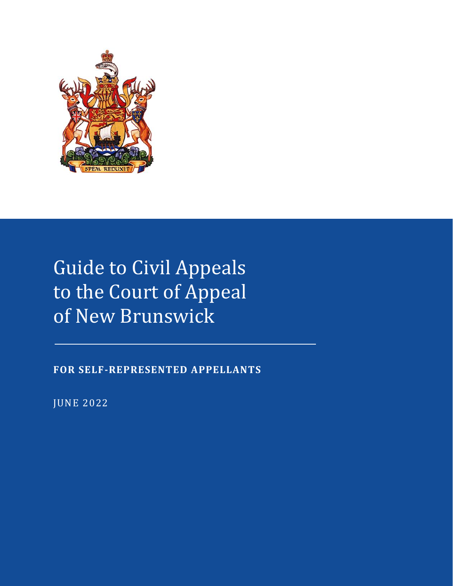

# Guide to Civil Appeals to the Court of Appeal of New Brunswick

**FOR SELF-REPRESENTED APPELLANTS**

JUNE 2022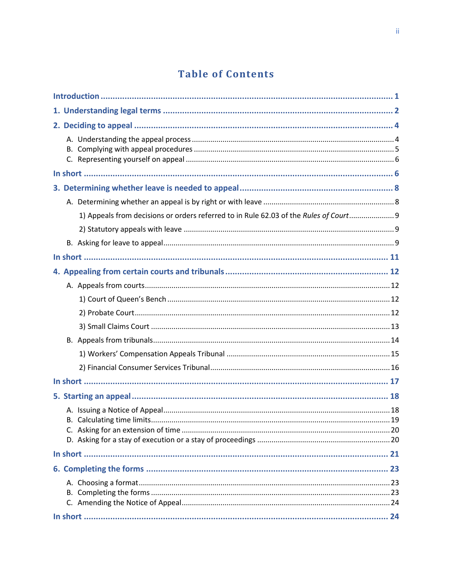# **Table of Contents**

| 1) Appeals from decisions or orders referred to in Rule 62.03 of the Rules of Court 9 |  |
|---------------------------------------------------------------------------------------|--|
|                                                                                       |  |
|                                                                                       |  |
|                                                                                       |  |
|                                                                                       |  |
|                                                                                       |  |
|                                                                                       |  |
|                                                                                       |  |
|                                                                                       |  |
|                                                                                       |  |
|                                                                                       |  |
|                                                                                       |  |
|                                                                                       |  |
|                                                                                       |  |
|                                                                                       |  |
|                                                                                       |  |
|                                                                                       |  |
|                                                                                       |  |
|                                                                                       |  |
|                                                                                       |  |
|                                                                                       |  |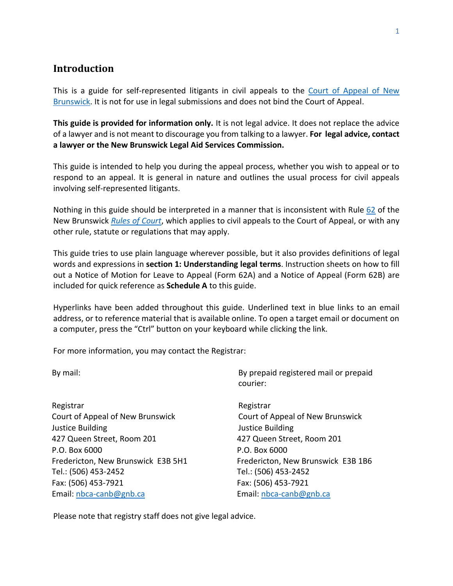## <span id="page-3-0"></span>**Introduction**

This is a guide for self-represented litigants in civil appeals to the [Court of Appeal of New](https://www.courtsnb-coursnb.ca/content/cour/en/appeal.html)  [Brunswick.](https://www.courtsnb-coursnb.ca/content/cour/en/appeal.html) It is not for use in legal submissions and does not bind the Court of Appeal.

**This guide is provided for information only.** It is not legal advice. It does not replace the advice of a lawyer and is not meant to discourage you from talking to a lawyer. **For legal advice, contact a lawyer or the New Brunswick Legal Aid Services Commission.**

This guide is intended to help you during the appeal process, whether you wish to appeal or to respond to an appeal. It is general in nature and outlines the usual process for civil appeals involving self-represented litigants.

Nothing in this guide should be interpreted in a manner that is inconsistent with Rule  $62$  of the New Brunswick *[Rules of Court](https://www2.gnb.ca/content/dam/gnb/Departments/ag-pg/PDF/en/rule/RULES.pdf)*, which applies to civil appeals to the Court of Appeal, or with any other rule, statute or regulations that may apply.

This guide tries to use plain language wherever possible, but it also provides definitions of legal words and expressions in **[section 1: Understanding legal terms](#page-4-0)**. Instruction sheets on how to fill out a Notice of Motion for Leave to Appeal (Form 62A) and a Notice of Appeal (Form 62B) are included for quick reference as **[Schedule A](file://///jusfp01/JUSDOCS$/MD5250/_Electronic%20Court%20Forms/_Guides/Guides/_Final%20From%20MCD/Civil/A%23_Schedule_)** to this guide.

Hyperlinks have been added throughout this guide. Underlined text in blue links to an email address, or to reference material that is available online. To open a target email or document on a computer, press the "Ctrl" button on your keyboard while clicking the link.

For more information, you may contact the Registrar:

Registrar Registrar Registrar Registrar Registrar Registrar Registrar Registrar Registrar Registrar Registrar Court of Appeal of New Brunswick Court of Appeal of New Brunswick Justice Building Justice Building 427 Queen Street, Room 201 427 Queen Street, Room 201 P.O. Box 6000 P.O. Box 6000 Fredericton, New Brunswick E3B 5H1 Fredericton, New Brunswick E3B 1B6 Tel.: (506) 453-2452 Tel.: (506) 453-2452 Fax: (506) 453-7921 Fax: (506) 453-7921 Email[: nbca-canb@gnb.ca](mailto:nbca-canb@gnb.ca) Email: [nbca-canb@gnb.ca](mailto:nbca-canb@gnb.ca)

By mail: By prepaid registered mail or prepaid courier:

Please note that registry staff does not give legal advice.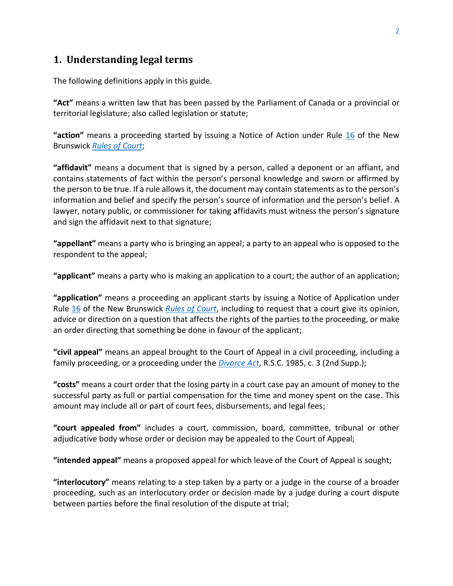# <span id="page-4-0"></span>**1. Understanding legal terms**

The following definitions apply in this guide.

**"Act"** means a written law that has been passed by the Parliament of Canada or a provincial or territorial legislature; also called legislation or statute;

**"action"** means a proceeding started by issuing a Notice of Action under Rule [16](http://laws.gnb.ca/en/ShowPdf/cr/Rule-16.pdf) of the New Brunswick *[Rules of Court](https://www2.gnb.ca/content/dam/gnb/Departments/ag-pg/PDF/en/rule/RULES.pdf)*;

**"affidavit"** means a document that is signed by a person, called a deponent or an affiant, and contains statements of fact within the person's personal knowledge and sworn or affirmed by the person to be true. If a rule allows it, the document may contain statements as to the person's information and belief and specify the person's source of information and the person's belief. A lawyer, notary public, or commissioner for taking affidavits must witness the person's signature and sign the affidavit next to that signature;

**"appellant"** means a party who is bringing an appeal; a party to an appeal who is opposed to the respondent to the appeal;

**"applicant"** means a party who is making an application to a court; the author of an application;

**"application"** means a proceeding an applicant starts by issuing a Notice of Application under Rule [16](http://laws.gnb.ca/en/ShowPdf/cr/Rule-16.pdf) of the New Brunswick *[Rules of Court](https://www2.gnb.ca/content/dam/gnb/Departments/ag-pg/PDF/en/rule/RULES.pdf)*, including to request that a court give its opinion, advice or direction on a question that affects the rights of the parties to the proceeding, or make an order directing that something be done in favour of the applicant;

**"civil appeal"** means an appeal brought to the Court of Appeal in a civil proceeding, including a family proceeding, or a proceeding under the *[Divorce Act](https://laws-lois.justice.gc.ca/PDF/D-3.4.pdf)*, R.S.C. 1985, c. 3 (2nd Supp.);

**"costs"** means a court order that the losing party in a court case pay an amount of money to the successful party as full or partial compensation for the time and money spent on the case. This amount may include all or part of court fees, disbursements, and legal fees;

**"court appealed from"** includes a court, commission, board, committee, tribunal or other adjudicative body whose order or decision may be appealed to the Court of Appeal;

**"intended appeal"** means a proposed appeal for which leave of the Court of Appeal is sought;

**"interlocutory"** means relating to a step taken by a party or a judge in the course of a broader proceeding, such as an interlocutory order or decision made by a judge during a court dispute between parties before the final resolution of the dispute at trial;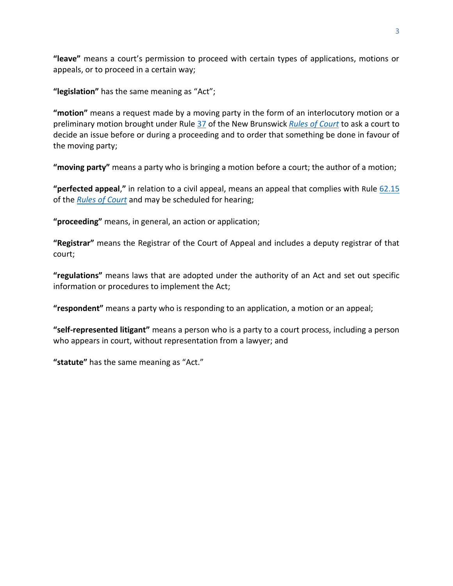**"leave"** means a court's permission to proceed with certain types of applications, motions or appeals, or to proceed in a certain way;

**"legislation"** has the same meaning as "Act";

**"motion"** means a request made by a moving party in the form of an interlocutory motion or a preliminary motion brought under Rule [37](http://laws.gnb.ca/en/ShowPdf/cr/Rule-37.pdf) of the New Brunswick *[Rules of Court](https://www2.gnb.ca/content/dam/gnb/Departments/ag-pg/PDF/en/rule/RULES.pdf)* to ask a court to decide an issue before or during a proceeding and to order that something be done in favour of the moving party;

**"moving party"** means a party who is bringing a motion before a court; the author of a motion;

**"perfected appeal**,**"** in relation to a civil appeal, means an appeal that complies with Rul[e 62.15](https://laws.gnb.ca/en/ShowPdf/cr/Rule-62.pdf) of the *[Rules of Court](https://www2.gnb.ca/content/dam/gnb/Departments/ag-pg/PDF/en/rule/RULES.pdf)* and may be scheduled for hearing;

**"proceeding"** means, in general, an action or application;

**"Registrar"** means the Registrar of the Court of Appeal and includes a deputy registrar of that court;

**"regulations"** means laws that are adopted under the authority of an Act and set out specific information or procedures to implement the Act;

**"respondent"** means a party who is responding to an application, a motion or an appeal;

**"self-represented litigant"** means a person who is a party to a court process, including a person who appears in court, without representation from a lawyer; and

**"statute"** has the same meaning as "Act."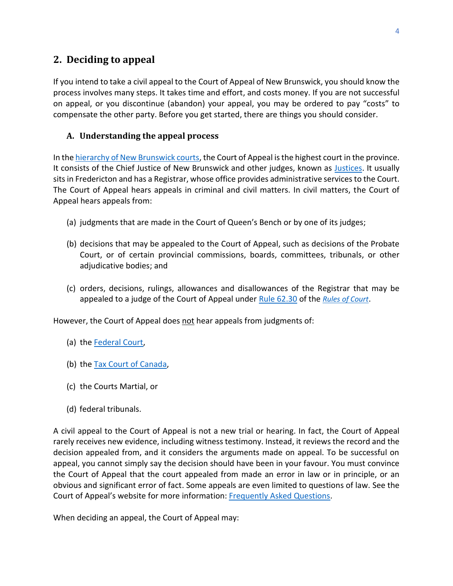# <span id="page-6-0"></span>**2. Deciding to appeal**

If you intend to take a civil appeal to the Court of Appeal of New Brunswick, you should know the process involves many steps. It takes time and effort, and costs money. If you are not successful on appeal, or you discontinue (abandon) your appeal, you may be ordered to pay "costs" to compensate the other party. Before you get started, there are things you should consider.

#### <span id="page-6-1"></span>**A. Understanding the appeal process**

In the [hierarchy of New Brunswick courts,](https://www.courtsnb-coursnb.ca/content/cour/en/overview.html) the Court of Appeal is the highest court in the province. It consists of the Chief Justice of New Brunswick and other judges, known as [Justices.](https://www.courtsnb-coursnb.ca/content/cour/en/appeal/content/judges.html) It usually sits in Fredericton and has a Registrar, whose office provides administrative services to the Court. The Court of Appeal hears appeals in criminal and civil matters. In civil matters, the Court of Appeal hears appeals from:

- (a) judgments that are made in the Court of Queen's Bench or by one of its judges;
- (b) decisions that may be appealed to the Court of Appeal, such as decisions of the Probate Court, or of certain provincial commissions, boards, committees, tribunals, or other adjudicative bodies; and
- (c) orders, decisions, rulings, allowances and disallowances of the Registrar that may be appealed to a judge of the Court of Appeal under [Rule 62.30](https://laws.gnb.ca/en/ShowPdf/cr/Rule-62.pdf) of the *[Rules of Court](https://www2.gnb.ca/content/dam/gnb/Departments/ag-pg/PDF/en/rule/RULES.pdf)*.

However, the Court of Appeal does not hear appeals from judgments of:

- (a) the **Federal Court**,
- (b) the [Tax Court of Canada,](https://www.tcc-cci.gc.ca/en/home)
- (c) the Courts Martial, or
- (d) federal tribunals.

A civil appeal to the Court of Appeal is not a new trial or hearing. In fact, the Court of Appeal rarely receives new evidence, including witness testimony. Instead, it reviews the record and the decision appealed from, and it considers the arguments made on appeal. To be successful on appeal, you cannot simply say the decision should have been in your favour. You must convince the Court of Appeal that the court appealed from made an error in law or in principle, or an obvious and significant error of fact. Some appeals are even limited to questions of law. See the Court of Appeal's website for more information[: Frequently Asked Questions.](https://www.courtsnb-coursnb.ca/content/cour/en/appeal/content/faq.html)

When deciding an appeal, the Court of Appeal may: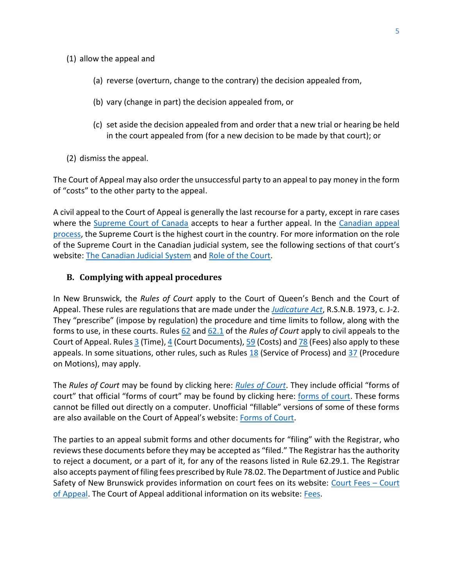- (1) allow the appeal and
	- (a) reverse (overturn, change to the contrary) the decision appealed from,
	- (b) vary (change in part) the decision appealed from, or
	- (c) set aside the decision appealed from and order that a new trial or hearing be held in the court appealed from (for a new decision to be made by that court); or
- (2) dismiss the appeal.

The Court of Appeal may also order the unsuccessful party to an appeal to pay money in the form of "costs" to the other party to the appeal.

A civil appeal to the Court of Appeal is generally the last recourse for a party, except in rare cases where the [Supreme Court of Canada](https://www.scc-csc.ca/home-accueil/index-eng.aspx) accepts to hear a further appeal. In the [Canadian appeal](https://www.justice.gc.ca/eng/csj-sjc/just/appeal-appel.html)  [process,](https://www.justice.gc.ca/eng/csj-sjc/just/appeal-appel.html) the Supreme Court is the highest court in the country. For more information on the role of the Supreme Court in the Canadian judicial system, see the following sections of that court's website: [The Canadian Judicial System](https://www.scc-csc.ca/court-cour/sys-eng.aspx) and [Role of the Court.](https://www.scc-csc.ca/court-cour/role-eng.aspx)

#### <span id="page-7-0"></span>**B. Complying with appeal procedures**

In New Brunswick, the *Rules of Court* apply to the Court of Queen's Bench and the Court of Appeal. These rules are regulations that are made under the *[Judicature Act](http://laws.gnb.ca/en/ShowPdf/cs/J-2.pdf)*, R.S.N.B. 1973, c. J-2. They "prescribe" (impose by regulation) the procedure and time limits to follow, along with the forms to use, in these courts. Rules [62](http://laws.gnb.ca/en/ShowPdf/cr/Rule-62.pdf) and [62.1](http://laws.gnb.ca/en/ShowPdf/cr/Rule-62.1.pdf) of the *Rules of Court* apply to civil appeals to the Court of Appeal. Rule[s 3](http://laws.gnb.ca/en/ShowPdf/cr/Rule-3.pdf) (Time)[, 4](https://laws.gnb.ca/en/ShowPdf/cr/Rule-4.pdf) (Court Documents), [59](http://laws.gnb.ca/en/ShowPdf/cr/Rule-59.pdf) (Costs) an[d 78](http://laws.gnb.ca/en/ShowPdf/cr/Rule-78.pdf) (Fees) also apply to these appeals. In some situations, other rules, such as Rules  $18$  (Service of Process) and  $37$  (Procedure on Motions), may apply.

The *Rules of Court* may be found by clicking here: *[Rules of Court](https://www2.gnb.ca/content/gnb/en/departments/public-safety/attorney-general/content/acts_regulations/content/rules_of_court/rules_of_court.html)*. They include official "forms of court" that official "forms of court" may be found by clicking here: [forms of court.](https://www2.gnb.ca/content/gnb/en/departments/public-safety/attorney-general/content/acts_regulations/content/rules_of_court/forms.html) These forms cannot be filled out directly on a computer. Unofficial "fillable" versions of some of these forms are also available on the Court of Appeal's website: [Forms of Court.](https://www.courtsnb-coursnb.ca/content/cour/en/appeal/content/forms-of-court.html)

The parties to an appeal submit forms and other documents for "filing" with the Registrar, who reviews these documents before they may be accepted as "filed." The Registrar has the authority to reject a document, or a part of it, for any of the reasons listed in Rule 62.29.1. The Registrar also accepts payment of filing fees prescribed by Rule 78.02. The Department of Justice and Public Safety of New Brunswick provides information on court fees on its website: [Court Fees](https://www2.gnb.ca/content/gnb/en/departments/public-safety/services/services_renderer.5615.Court_Fees_-_Court_of_Appeal.html#serviceDescription) – Court [of Appeal.](https://www2.gnb.ca/content/gnb/en/departments/public-safety/services/services_renderer.5615.Court_Fees_-_Court_of_Appeal.html#serviceDescription) The Court of Appeal additional information on its website: [Fees.](https://www.courtsnb-coursnb.ca/content/cour/en/appeal/content/fees.html)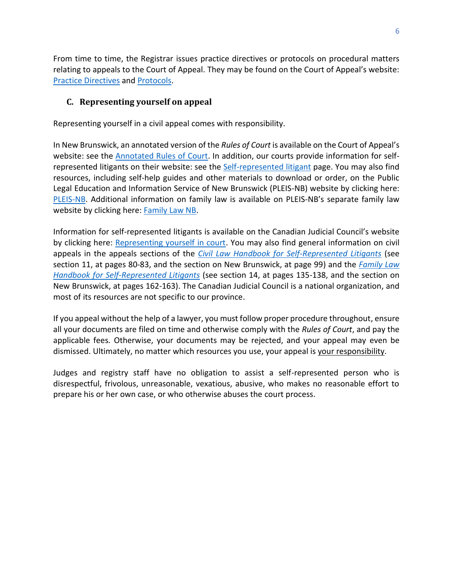From time to time, the Registrar issues practice directives or protocols on procedural matters relating to appeals to the Court of Appeal. They may be found on the Court of Appeal's website: [Practice Directives](https://www.courtsnb-coursnb.ca/content/cour/en/appeal/content/practice-directives.html) an[d Protocols.](https://www.courtsnb-coursnb.ca/content/cour/en/appeal/content/protocols.html)

#### <span id="page-8-0"></span>**C. Representing yourself on appeal**

Representing yourself in a civil appeal comes with responsibility.

In New Brunswick, an annotated version of the *Rules of Court* is available on the Court of Appeal's website: see the [Annotated Rules of Court.](https://www.courtsnb-coursnb.ca/content/cour/en/appeal/content/arc.html) In addition, our courts provide information for self-represented litigants on their website: see the [Self-represented litigant](https://www.courtsnb-coursnb.ca/content/cour/en/self-represented-litigant.html) page. You may also find resources, including self-help guides and other materials to download or order, on the Public Legal Education and Information Service of New Brunswick (PLEIS-NB) website by clicking here: [PLEIS-NB.](http://www.legal-info-legale.nb.ca/en/) Additional information on family law is available on PLEIS-NB's separate family law website by clicking here: [Family Law NB.](http://www.familylawnb.ca/english/index.php)

Information for self-represented litigants is available on the Canadian Judicial Council's website by clicking here: [Representing yourself in court.](https://cjc-ccm.ca/en/what-we-do/initiatives/representing-yourself-court) You may also find general information on civil appeals in the appeals sections of the *[Civil Law Handbook for Self-Represented Litigants](https://cjc-ccm.ca/sites/default/files/documents/2021/Civil%20Handbook%20-%20EN%20MASTER%202021-10-19.pdf)* (see section 11, at pages 80-83, and the section on New Brunswick, at page 99) and the *[Family Law](https://cjc-ccm.ca/sites/default/files/documents/2021/Family%20Handbook%20-%20EN%20MASTER%20rev1%202021-06-03.pdf)  [Handbook for Self-Represented Litigants](https://cjc-ccm.ca/sites/default/files/documents/2021/Family%20Handbook%20-%20EN%20MASTER%20rev1%202021-06-03.pdf)* (see section 14, at pages 135-138, and the section on New Brunswick, at pages 162-163). The Canadian Judicial Council is a national organization, and most of its resources are not specific to our province.

If you appeal without the help of a lawyer, you must follow proper procedure throughout, ensure all your documents are filed on time and otherwise comply with the *Rules of Court*, and pay the applicable fees*.* Otherwise, your documents may be rejected, and your appeal may even be dismissed. Ultimately, no matter which resources you use, your appeal is your responsibility.

Judges and registry staff have no obligation to assist a self-represented person who is disrespectful, frivolous, unreasonable, vexatious, abusive, who makes no reasonable effort to prepare his or her own case, or who otherwise abuses the court process.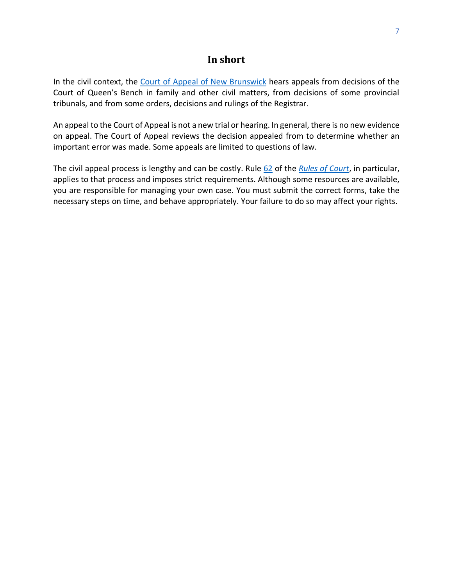#### **In short**

In the civil context, the [Court of Appeal of New Brunswick](https://www.courtsnb-coursnb.ca/content/cour/en/appeal.html) hears appeals from decisions of the Court of Queen's Bench in family and other civil matters, from decisions of some provincial tribunals, and from some orders, decisions and rulings of the Registrar.

An appeal to the Court of Appeal is not a new trial or hearing. In general, there is no new evidence on appeal. The Court of Appeal reviews the decision appealed from to determine whether an important error was made. Some appeals are limited to questions of law.

The civil appeal process is lengthy and can be costly. Rule [62](http://laws.gnb.ca/en/ShowPdf/cr/Rule-62.pdf) of the *[Rules of Court](https://www2.gnb.ca/content/gnb/en/departments/public-safety/attorney-general/content/acts_regulations/content/rules_of_court/rules_of_court.html)*, in particular, applies to that process and imposes strict requirements. Although some resources are available, you are responsible for managing your own case. You must submit the correct forms, take the necessary steps on time, and behave appropriately. Your failure to do so may affect your rights.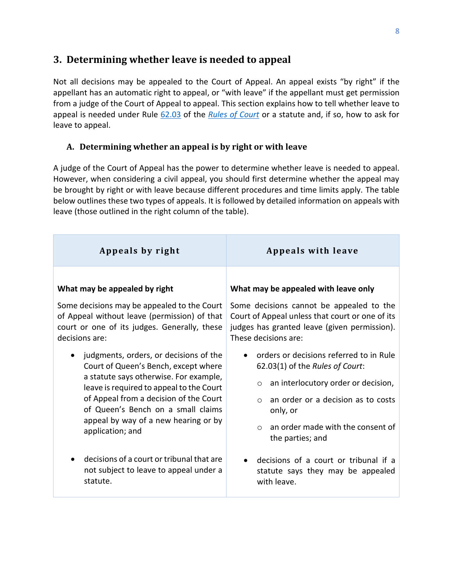# <span id="page-10-0"></span>**3. Determining whether leave is needed to appeal**

Not all decisions may be appealed to the Court of Appeal. An appeal exists "by right" if the appellant has an automatic right to appeal, or "with leave" if the appellant must get permission from a judge of the Court of Appeal to appeal. This section explains how to tell whether leave to appeal is needed under Rule [62.03](http://laws.gnb.ca/en/ShowPdf/cr/Rule-62.pdf) of the *[Rules of Court](https://www2.gnb.ca/content/dam/gnb/Departments/ag-pg/PDF/en/rule/RULES.pdf)* or a statute and, if so, how to ask for leave to appeal.

#### <span id="page-10-1"></span>**A. Determining whether an appeal is by right or with leave**

A judge of the Court of Appeal has the power to determine whether leave is needed to appeal. However, when considering a civil appeal, you should first determine whether the appeal may be brought by right or with leave because different procedures and time limits apply. The table below outlines these two types of appeals. It is followed by detailed information on appeals with leave (those outlined in the right column of the table).

| Appeals by right                                                                                                                                                                                                                                                                                                 | <b>Appeals with leave</b>                                                                                                                                                                                                                                     |
|------------------------------------------------------------------------------------------------------------------------------------------------------------------------------------------------------------------------------------------------------------------------------------------------------------------|---------------------------------------------------------------------------------------------------------------------------------------------------------------------------------------------------------------------------------------------------------------|
| What may be appealed by right                                                                                                                                                                                                                                                                                    | What may be appealed with leave only                                                                                                                                                                                                                          |
| Some decisions may be appealed to the Court                                                                                                                                                                                                                                                                      | Some decisions cannot be appealed to the                                                                                                                                                                                                                      |
| of Appeal without leave (permission) of that                                                                                                                                                                                                                                                                     | Court of Appeal unless that court or one of its                                                                                                                                                                                                               |
| court or one of its judges. Generally, these                                                                                                                                                                                                                                                                     | judges has granted leave (given permission).                                                                                                                                                                                                                  |
| decisions are:                                                                                                                                                                                                                                                                                                   | These decisions are:                                                                                                                                                                                                                                          |
| judgments, orders, or decisions of the<br>Court of Queen's Bench, except where<br>a statute says otherwise. For example,<br>leave is required to appeal to the Court<br>of Appeal from a decision of the Court<br>of Queen's Bench on a small claims<br>appeal by way of a new hearing or by<br>application; and | orders or decisions referred to in Rule<br>62.03(1) of the Rules of Court:<br>an interlocutory order or decision,<br>$\circ$<br>an order or a decision as to costs<br>$\circ$<br>only, or<br>an order made with the consent of<br>$\circ$<br>the parties; and |
| decisions of a court or tribunal that are                                                                                                                                                                                                                                                                        | decisions of a court or tribunal if a                                                                                                                                                                                                                         |
| not subject to leave to appeal under a                                                                                                                                                                                                                                                                           | statute says they may be appealed                                                                                                                                                                                                                             |
| statute.                                                                                                                                                                                                                                                                                                         | with leave.                                                                                                                                                                                                                                                   |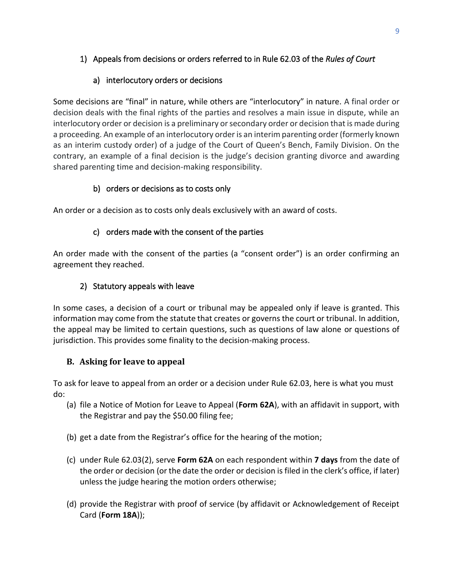# <span id="page-11-0"></span>1) Appeals from decisions or orders referred to in Rule 62.03 of the *Rules of Court*

### a) interlocutory orders or decisions

Some decisions are "final" in nature, while others are "interlocutory" in nature. A final order or decision deals with the final rights of the parties and resolves a main issue in dispute, while an interlocutory order or decision is a preliminary or secondary order or decision that is made during a proceeding. An example of an interlocutory order is an interim parenting order (formerly known as an interim custody order) of a judge of the Court of Queen's Bench, Family Division. On the contrary, an example of a final decision is the judge's decision granting divorce and awarding shared parenting time and decision-making responsibility.

## b) orders or decisions as to costs only

An order or a decision as to costs only deals exclusively with an award of costs.

## c) orders made with the consent of the parties

An order made with the consent of the parties (a "consent order") is an order confirming an agreement they reached.

## 2) Statutory appeals with leave

<span id="page-11-1"></span>In some cases, a decision of a court or tribunal may be appealed only if leave is granted. This information may come from the statute that creates or governs the court or tribunal. In addition, the appeal may be limited to certain questions, such as questions of law alone or questions of jurisdiction. This provides some finality to the decision-making process.

## <span id="page-11-2"></span>**B. Asking for leave to appeal**

To ask for leave to appeal from an order or a decision under Rule 62.03, here is what you must do:

- (a) file a Notice of Motion for Leave to Appeal (**Form 62A**), with an affidavit in support, with the Registrar and pay the \$50.00 filing fee;
- (b) get a date from the Registrar's office for the hearing of the motion;
- (c) under Rule 62.03(2), serve **Form 62A** on each respondent within **7 days** from the date of the order or decision (or the date the order or decision is filed in the clerk's office, if later) unless the judge hearing the motion orders otherwise;
- (d) provide the Registrar with proof of service (by affidavit or Acknowledgement of Receipt Card (**Form 18A**));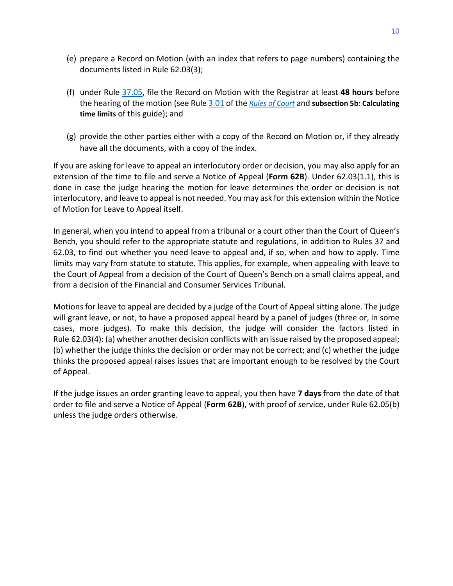- (e) prepare a Record on Motion (with an index that refers to page numbers) containing the documents listed in Rule 62.03(3);
- (f) under Rule [37.05,](http://laws.gnb.ca/en/ShowPdf/cr/Rule-37.pdf) file the Record on Motion with the Registrar at least **48 hours** before the hearing of the motion (see Rule [3.01](https://laws.gnb.ca/en/ShowPdf/cr/Rule-3.pdf) of the *[Rules of Court](https://www2.gnb.ca/content/dam/gnb/Departments/ag-pg/PDF/en/rule/RULES.pdf)* and **[subsection 5b: Calculating](#page-21-0)  [time limits](#page-21-0)** of this guide); and
- (g) provide the other parties either with a copy of the Record on Motion or, if they already have all the documents, with a copy of the index.

If you are asking for leave to appeal an interlocutory order or decision, you may also apply for an extension of the time to file and serve a Notice of Appeal (**Form 62B**). Under 62.03(1.1), this is done in case the judge hearing the motion for leave determines the order or decision is not interlocutory, and leave to appeal is not needed. You may ask for this extension within the Notice of Motion for Leave to Appeal itself.

In general, when you intend to appeal from a tribunal or a court other than the Court of Queen's Bench, you should refer to the appropriate statute and regulations, in addition to [Rules 37](http://laws.gnb.ca/en/ShowPdf/cr/Rule-62.pdf) and [62.03,](http://laws.gnb.ca/en/ShowPdf/cr/Rule-62.pdf) to find out whether you need leave to appeal and, if so, when and how to apply. Time limits may vary from statute to statute. This applies, for example, when appealing with leave to the Court of Appeal from a decision of the Court of Queen's Bench on a small claims appeal, and from a decision of the Financial and Consumer Services Tribunal.

Motions for leave to appeal are decided by a judge of the Court of Appeal sitting alone. The judge will grant leave, or not, to have a proposed appeal heard by a panel of judges (three or, in some cases, more judges). To make this decision, the judge will consider the factors listed in Rule 62.03(4): (a) whether another decision conflicts with an issue raised by the proposed appeal; (b) whether the judge thinks the decision or order may not be correct; and (c) whether the judge thinks the proposed appeal raises issues that are important enough to be resolved by the Court of Appeal.

<span id="page-12-0"></span>If the judge issues an order granting leave to appeal, you then have **7 days** from the date of that order to file and serve a Notice of Appeal (**Form 62B**), with proof of service, under Rule 62.05(b) unless the judge orders otherwise.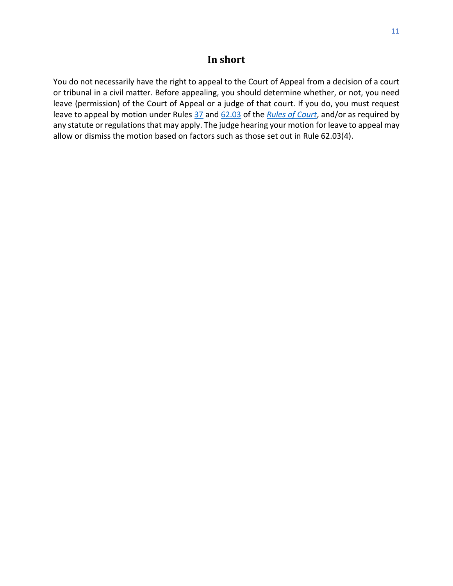# **In short**

You do not necessarily have the right to appeal to the Court of Appeal from a decision of a court or tribunal in a civil matter. Before appealing, you should determine whether, or not, you need leave (permission) of the Court of Appeal or a judge of that court. If you do, you must request leave to appeal by motion under Rules [37](http://laws.gnb.ca/en/ShowPdf/cr/Rule-37.pdf) and [62.03](http://laws.gnb.ca/en/ShowPdf/cr/Rule-62.pdf) of the *[Rules of Court](https://www2.gnb.ca/content/dam/gnb/Departments/ag-pg/PDF/en/rule/RULES.pdf)*, and/or as required by any statute or regulations that may apply. The judge hearing your motion for leave to appeal may allow or dismiss the motion based on factors such as those set out in Rule [62.03\(4\).](http://laws.gnb.ca/en/ShowPdf/cr/Rule-62.pdf)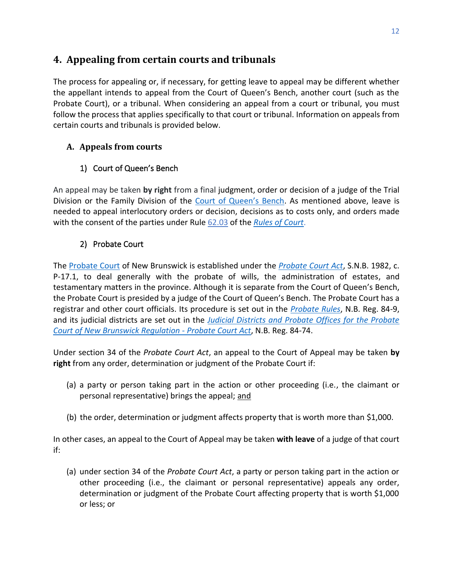# <span id="page-14-0"></span>**4. Appealing from certain courts and tribunals**

The process for appealing or, if necessary, for getting leave to appeal may be different whether the appellant intends to appeal from the Court of Queen's Bench, another court (such as the Probate Court), or a tribunal. When considering an appeal from a court or tribunal, you must follow the process that applies specifically to that court or tribunal. Information on appeals from certain courts and tribunals is provided below.

# <span id="page-14-1"></span>**A. Appeals from courts**

# 1) Court of Queen's Bench

<span id="page-14-2"></span>An appeal may be taken **by right** from a final judgment, order or decision of a judge of the Trial Division or the Family Division of the [Court of Queen's Bench](https://www.courtsnb-coursnb.ca/content/cour/en/queens-bench.html). As mentioned above, leave is needed to appeal interlocutory orders or decision, decisions as to costs only, and orders made with the consent of the parties under Rule [62.03](http://laws.gnb.ca/en/ShowPdf/cr/Rule-62.pdf) of the *[Rules of Court](https://www2.gnb.ca/content/dam/gnb/Departments/ag-pg/PDF/en/rule/RULES.pdf)*.

# 2) Probate Court

<span id="page-14-3"></span>The [Probate Court](https://www.courtsnb-coursnb.ca/content/cour/en/probate-court.html) of New Brunswick is established under the *[Probate Court Act](http://laws.gnb.ca/en/ShowPdf/cs/P-17.1.pdf)*, S.N.B. 1982, c. P-17.1, to deal generally with the probate of wills, the administration of estates, and testamentary matters in the province. Although it is separate from the Court of Queen's Bench, the Probate Court is presided by a judge of the Court of Queen's Bench. The Probate Court has a registrar and other court officials. Its procedure is set out in the *[Probate Rules](http://laws.gnb.ca/en/ShowPdf/cr/84-9.pdf)*, N.B. Reg. 84-9, and its judicial districts are set out in the *[Judicial Districts and Probate Offices for the Probate](http://laws.gnb.ca/en/ShowPdf/cr/84-74.pdf)  [Court of New Brunswick Regulation -](http://laws.gnb.ca/en/ShowPdf/cr/84-74.pdf) Probate Court Act*, N.B. Reg. 84-74.

Under section 34 of the *Probate Court Act*, an appeal to the Court of Appeal may be taken **by right** from any order, determination or judgment of the Probate Court if:

- (a) a party or person taking part in the action or other proceeding (i.e., the claimant or personal representative) brings the appeal; and
- (b) the order, determination or judgment affects property that is worth more than \$1,000.

In other cases, an appeal to the Court of Appeal may be taken **with leave** of a judge of that court if:

(a) under section 34 of the *Probate Court Act*, a party or person taking part in the action or other proceeding (i.e., the claimant or personal representative) appeals any order, determination or judgment of the Probate Court affecting property that is worth \$1,000 or less; or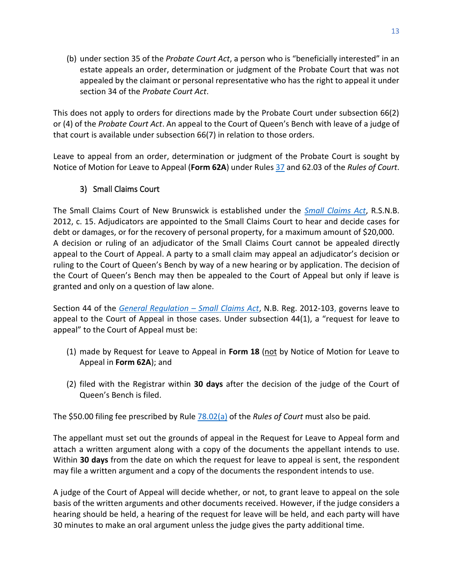(b) under section 35 of the *Probate Court Act*, a person who is "beneficially interested" in an estate appeals an order, determination or judgment of the Probate Court that was not appealed by the claimant or personal representative who has the right to appeal it under section 34 of the *Probate Court Act*.

This does not apply to orders for directions made by the Probate Court under subsection 66(2) or (4) of the *Probate Court Act*. An appeal to the Court of Queen's Bench with leave of a judge of that court is available under subsection 66(7) in relation to those orders.

Leave to appeal from an order, determination or judgment of the Probate Court is sought by Notice of Motion for Leave to Appeal (**Form 62A**) under Rule[s 37](http://laws.gnb.ca/en/ShowPdf/cr/Rule-37.pdf) and 62.03 of the *Rules of Court*.

# 3) Small Claims Court

<span id="page-15-0"></span>The Small Claims Court of New Brunswick is established under the *[Small Claims Act](http://laws.gnb.ca/en/ShowPdf/cs/2012-c.15.pdf)*, R.S.N.B. 2012, c. 15. Adjudicators are appointed to the Small Claims Court to hear and decide cases for debt or damages, or for the recovery of personal property, for a maximum amount of \$20,000. A decision or ruling of an adjudicator of the Small Claims Court cannot be appealed directly appeal to the Court of Appeal. A party to a small claim may appeal an adjudicator's decision or ruling to the Court of Queen's Bench by way of a new hearing or by application. The decision of the Court of Queen's Bench may then be appealed to the Court of Appeal but only if leave is granted and only on a question of law alone.

Section 44 of the *[General Regulation](http://laws.gnb.ca/en/ShowPdf/cr/2012-103.pdf) – Small Claims Act*, N.B. Reg. 2012-103, governs leave to appeal to the Court of Appeal in those cases. Under subsection 44(1), a "request for leave to appeal" to the Court of Appeal must be:

- (1) made by Request for Leave to Appeal in **Form 18** (not by Notice of Motion for Leave to Appeal in **Form 62A**); and
- (2) filed with the Registrar within **30 days** after the decision of the judge of the Court of Queen's Bench is filed.

The \$50.00 filing fee prescribed by Rule [78.02\(a\)](http://laws.gnb.ca/en/ShowPdf/cr/Rule-78.pdf) of the *Rules of Court* must also be paid*.*

The appellant must set out the grounds of appeal in the Request for Leave to Appeal form and attach a written argument along with a copy of the documents the appellant intends to use. Within **30 days** from the date on which the request for leave to appeal is sent, the respondent may file a written argument and a copy of the documents the respondent intends to use.

A judge of the Court of Appeal will decide whether, or not, to grant leave to appeal on the sole basis of the written arguments and other documents received. However, if the judge considers a hearing should be held, a hearing of the request for leave will be held, and each party will have 30 minutes to make an oral argument unless the judge gives the party additional time.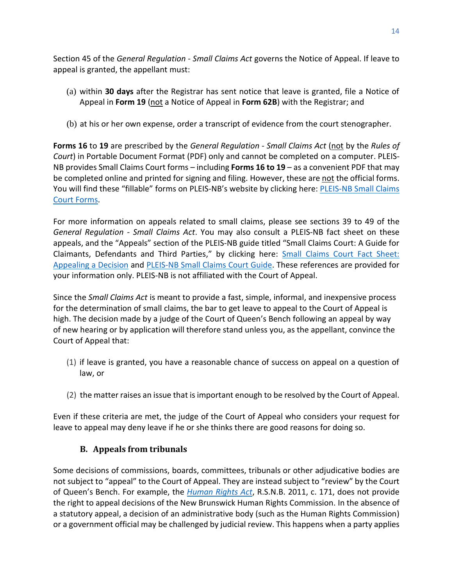Section 45 of the *General Regulation - Small Claims Act* governs the Notice of Appeal. If leave to appeal is granted, the appellant must:

- (a) within **30 days** after the Registrar has sent notice that leave is granted, file a Notice of Appeal in **Form 19** (not a Notice of Appeal in **Form 62B**) with the Registrar; and
- (b) at his or her own expense, order a transcript of evidence from the court stenographer.

**Forms 16** to **19** are prescribed by the *General Regulation - Small Claims Act* (not by the *Rules of Court*) in Portable Document Format (PDF) only and cannot be completed on a computer. PLEIS-NB provides Small Claims Court forms – including **Forms 16 to 19** – as a convenient PDF that may be completed online and printed for signing and filing. However, these are not the official forms. You will find these "fillable" forms on PLEIS-NB's website by clicking here: [PLEIS-NB Small Claims](http://www.legal-info-legale.nb.ca/en/index.php?page=small_claims_court_forms)  [Court Forms.](http://www.legal-info-legale.nb.ca/en/index.php?page=small_claims_court_forms)

For more information on appeals related to small claims, please see sections 39 to 49 of the *General Regulation - Small Claims Act*. You may also consult a PLEIS-NB fact sheet on these appeals, and the "Appeals" section of the PLEIS-NB guide titled "Small Claims Court: A Guide for Claimants, Defendants and Third Parties," by clicking here: [Small Claims Court Fact Sheet:](http://www.legal-info-legale.nb.ca/en/uploads/file/pdfs/Small_Claims_Appeals_EN.pdf)  [Appealing a Decision](http://www.legal-info-legale.nb.ca/en/uploads/file/pdfs/Small_Claims_Appeals_EN.pdf) and [PLEIS-NB Small Claims Court Guide.](http://www.legal-info-legale.nb.ca/en/uploads/file/pdfs/Small_Claims_EN.pdf) These references are provided for your information only. PLEIS-NB is not affiliated with the Court of Appeal.

Since the *[Small Claims Act](http://laws.gnb.ca/en/ShowPdf/cs/2012-c.15.pdf)* is meant to provide a fast, simple, informal, and inexpensive process for the determination of small claims, the bar to get leave to appeal to the Court of Appeal is high. The decision made by a judge of the Court of Queen's Bench following an appeal by way of new hearing or by application will therefore stand unless you, as the appellant, convince the Court of Appeal that:

- (1) if leave is granted, you have a reasonable chance of success on appeal on a question of law, or
- (2) the matter raises an issue that is important enough to be resolved by the Court of Appeal.

Even if these criteria are met, the judge of the Court of Appeal who considers your request for leave to appeal may deny leave if he or she thinks there are good reasons for doing so.

#### **B. Appeals from tribunals**

<span id="page-16-0"></span>Some decisions of commissions, boards, committees, tribunals or other adjudicative bodies are not subject to "appeal" to the Court of Appeal. They are instead subject to "review" by the Court of Queen's Bench. For example, the *[Human Rights Act](http://laws.gnb.ca/en/ShowPdf/cs/2011-c.171.pdf)*, R.S.N.B. 2011, c. 171, does not provide the right to appeal decisions of the New Brunswick Human Rights Commission. In the absence of a statutory appeal, a decision of an administrative body (such as the Human Rights Commission) or a government official may be challenged by judicial review. This happens when a party applies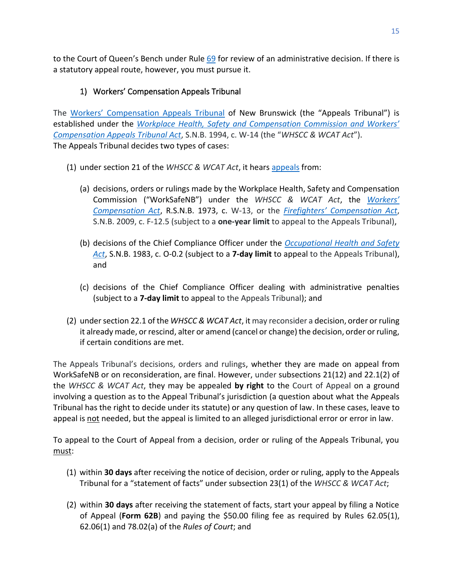to the Court of Queen's Bench under Rule [69](http://laws.gnb.ca/en/ShowPdf/cr/Rule-69.pdf) for review of an administrative decision. If there is a statutory appeal route, however, you must pursue it.

## 1) Workers' Compensation Appeals Tribunal

<span id="page-17-0"></span>The [Workers' Compensation Appeals Tribunal](https://nbwcat-taatnb.ca/en) of New Brunswick (the "Appeals Tribunal") is established under the *[Workplace Health, Safety and Compensation Commissi](http://laws.gnb.ca/en/ShowPdf/cs/W-14.pdf)on and Workers' [Compensation Appeals Tribunal Act](http://laws.gnb.ca/en/ShowPdf/cs/W-14.pdf)*, S.N.B. 1994, c. W-14 (the "*WHSCC & WCAT Act*"). The Appeals Tribunal decides two types of cases:

- (1) under section 21 of the *WHSCC & WCAT Act*, it hears [appeals](https://nbwcat-taatnb.ca/en/how-submit-appeal) from:
	- (a) decisions, orders or rulings made by the Workplace Health, Safety and Compensation Commission ("WorkSafeNB") under the *WHSCC & WCAT Act*, the *[Workers'](http://laws.gnb.ca/en/ShowPdf/cs/W-13.pdf)  [Compensation Act](http://laws.gnb.ca/en/ShowPdf/cs/W-13.pdf)*, R.S.N.B. 1973, c. W-13, or the *Firefighters' [Compensation Act](http://laws.gnb.ca/en/ShowPdf/cs/F-12.5.pdf)*, S.N.B. 2009, c. F-12.5 (subject to a **one-year limit** to appeal to the Appeals Tribunal),
	- (b) decisions of the Chief Compliance Officer under the *[Occupational Health and Safety](http://laws.gnb.ca/en/ShowPdf/cs/O-0.2.pdf)  [Act](http://laws.gnb.ca/en/ShowPdf/cs/O-0.2.pdf)*, S.N.B. 1983, c. O-0.2 (subject to a **7-day limit** to appeal to the Appeals Tribunal), and
	- (c) decisions of the Chief Compliance Officer dealing with administrative penalties (subject to a **7-day limit** to appeal to the Appeals Tribunal); and
- (2) under section 22.1 of the *WHSCC & WCAT Act*, it may reconsider a decision, order or ruling it already made, or rescind, alter or amend (cancel or change) the decision, order or ruling, if certain conditions are met.

The Appeals Tribunal's decisions, orders and rulings, whether they are made on appeal from WorkSafeNB or on reconsideration, are final. However, under subsections 21(12) and 22.1(2) of the *WHSCC & WCAT Act*, they may be appealed **by right** to the Court of Appeal on a ground involving a question as to the Appeal Tribunal's jurisdiction (a question about what the Appeals Tribunal has the right to decide under its statute) or any question of law. In these cases, leave to appeal is not needed, but the appeal is limited to an alleged jurisdictional error or error in law.

To appeal to the Court of Appeal from a decision, order or ruling of the Appeals Tribunal, you must:

- (1) within **30 days** after receiving the notice of decision, order or ruling, apply to the Appeals Tribunal for a "statement of facts" under subsection 23(1) of the *WHSCC & WCAT Act*;
- (2) within **30 days** after receiving the statement of facts, start your appeal by filing a Notice of Appeal (**Form 62B**) and paying the \$50.00 filing fee as required by Rules 62.05(1), 62.06(1) and 78.02(a) of the *Rules of Court*; and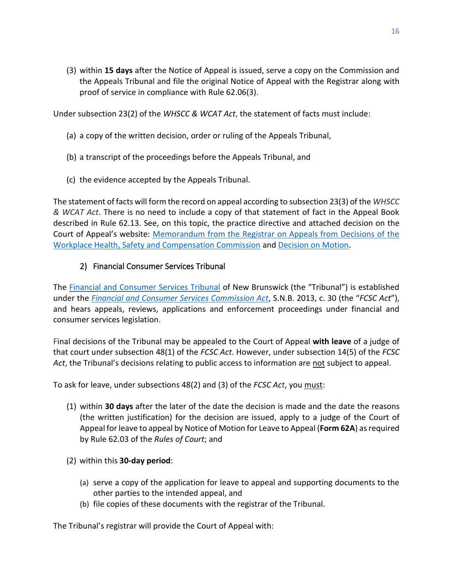(3) within **15 days** after the Notice of Appeal is issued, serve a copy on the Commission and the Appeals Tribunal and file the original Notice of Appeal with the Registrar along with proof of service in compliance with Rule 62.06(3).

Under subsection 23(2) of the *WHSCC & WCAT Act*, the statement of facts must include:

- (a) a copy of the written decision, order or ruling of the Appeals Tribunal,
- (b) a transcript of the proceedings before the Appeals Tribunal, and
- (c) the evidence accepted by the Appeals Tribunal.

The statement of facts will form the record on appeal according to subsection 23(3) of the *WHSCC & WCAT Act*. There is no need to include a copy of that statement of fact in the Appeal Book described in Rule 62.13. See, on this topic, the practice directive and attached decision on the Court of Appeal's website: [Memorandum from the Registrar on Appeals from Decisions of the](https://www.courtsnb-coursnb.ca/content/dam/courts/pdf/appeal-appel/pd-aa/PD-AA-13.pdf)  [Workplace Health, Safety and Compensation Commission](https://www.courtsnb-coursnb.ca/content/dam/courts/pdf/appeal-appel/pd-aa/PD-AA-13.pdf) and [Decision on Motion.](https://www.canlii.org/en/nb/nbca/doc/1996/1996canlii18662/1996canlii18662.pdf)

#### <span id="page-18-0"></span>2) Financial Consumer Services Tribunal

The [Financial and Consumer Services Tribunal](http://tribunalnb.ca/about.html) of New Brunswick (the "Tribunal") is established under the *[Financial and Consumer Services Commission Act](http://laws.gnb.ca/en/ShowPdf/cs/2013-C.30.pdf)*, S.N.B. 2013, c. 30 (the "*FCSC Act*"), and hears appeals, reviews, applications and enforcement proceedings under financial and consumer services legislation.

Final decisions of the Tribunal may be appealed to the Court of Appeal **with leave** of a judge of that court under subsection 48(1) of the *FCSC Act*. However, under subsection 14(5) of the *FCSC Act*, the Tribunal's decisions relating to public access to information are not subject to appeal.

To ask for leave, under subsections 48(2) and (3) of the *FCSC Act*, you must:

- (1) within **30 days** after the later of the date the decision is made and the date the reasons (the written justification) for the decision are issued, apply to a judge of the Court of Appeal for leave to appeal by Notice of Motion for Leave to Appeal (**Form 62A**) as required by Rule 62.03 of the *Rules of Court*; and
- (2) within this **30-day period**:
	- (a) serve a copy of the application for leave to appeal and supporting documents to the other parties to the intended appeal, and
	- (b) file copies of these documents with the registrar of the Tribunal.

The Tribunal's registrar will provide the Court of Appeal with: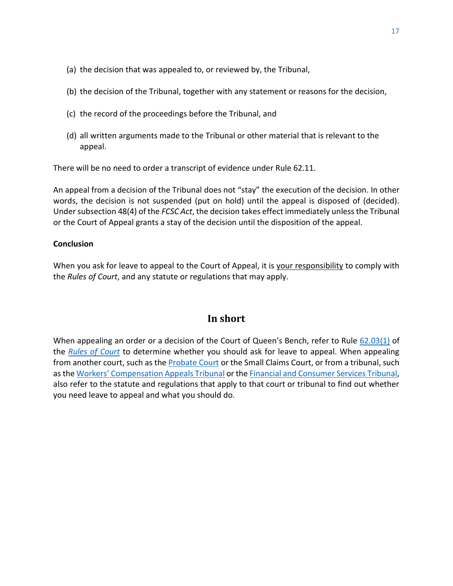- (a) the decision that was appealed to, or reviewed by, the Tribunal,
- (b) the decision of the Tribunal, together with any statement or reasons for the decision,
- (c) the record of the proceedings before the Tribunal, and
- (d) all written arguments made to the Tribunal or other material that is relevant to the appeal.

There will be no need to order a transcript of evidence under Rule 62.11.

An appeal from a decision of the Tribunal does not "stay" the execution of the decision. In other words, the decision is not suspended (put on hold) until the appeal is disposed of (decided). Under subsection 48(4) of the *FCSC Act*, the decision takes effect immediately unless the Tribunal or the Court of Appeal grants a stay of the decision until the disposition of the appeal.

#### **Conclusion**

When you ask for leave to appeal to the Court of Appeal, it is your responsibility to comply with the *Rules of Court*, and any statute or regulations that may apply.

# **In short**

<span id="page-19-0"></span>When appealing an order or a decision of the Court of Queen's Bench, refer to Rule [62.03\(1\)](http://laws.gnb.ca/en/ShowPdf/cr/Rule-62.pdf) of the *[Rules of Court](https://www2.gnb.ca/content/dam/gnb/Departments/ag-pg/PDF/en/rule/RULES.pdf)* to determine whether you should ask for leave to appeal. When appealing from another court, such as th[e Probate Court](https://www.courtsnb-coursnb.ca/content/cour/en/probate-court.html) or the Small Claims Court, or from a tribunal, such as the [Workers' Compensation Appeals Tribunal](https://nbwcat-taatnb.ca/en) or the Financial [and Consumer Services Tribunal,](http://tribunalnb.ca/about.html) also refer to the statute and regulations that apply to that court or tribunal to find out whether you need leave to appeal and what you should do.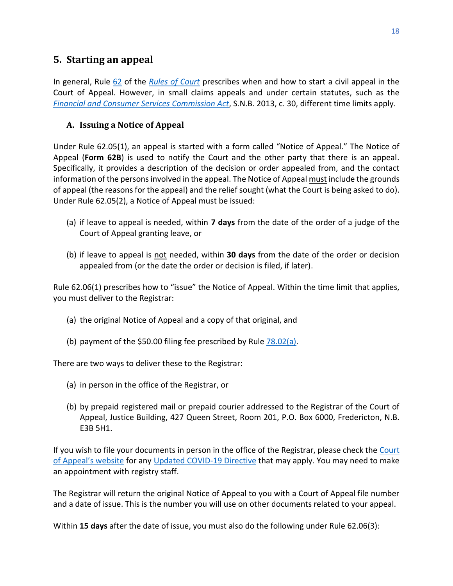# <span id="page-20-0"></span>**5. Starting an appeal**

In general, Rule [62](http://laws.gnb.ca/en/ShowPdf/cr/Rule-62.pdf) of the *[Rules of Court](https://www2.gnb.ca/content/dam/gnb/Departments/ag-pg/PDF/en/rule/RULES.pdf)* prescribes when and how to start a civil appeal in the Court of Appeal. However, in small claims appeals and under certain statutes, such as the *[Financial and Consumer Services Commission Act](http://laws.gnb.ca/en/ShowPdf/cs/2013-C.30.pdf)*, S.N.B. 2013, c. 30, different time limits apply.

#### <span id="page-20-1"></span>**A. Issuing a Notice of Appeal**

Under Rule 62.05(1), an appeal is started with a form called "Notice of Appeal." The Notice of Appeal (**Form 62B**) is used to notify the Court and the other party that there is an appeal. Specifically, it provides a description of the decision or order appealed from, and the contact information of the persons involved in the appeal. The Notice of Appeal must include the grounds of appeal (the reasons for the appeal) and the relief sought (what the Court is being asked to do). Under Rule 62.05(2), a Notice of Appeal must be issued:

- (a) if leave to appeal is needed, within **7 days** from the date of the order of a judge of the Court of Appeal granting leave, or
- (b) if leave to appeal is not needed, within **30 days** from the date of the order or decision appealed from (or the date the order or decision is filed, if later).

Rule 62.06(1) prescribes how to "issue" the Notice of Appeal. Within the time limit that applies, you must deliver to the Registrar:

- (a) the original Notice of Appeal and a copy of that original, and
- (b) payment of the \$50.00 filing fee prescribed by Rule  $78.02(a)$ .

There are two ways to deliver these to the Registrar:

- (a) in person in the office of the Registrar, or
- (b) by prepaid registered mail or prepaid courier addressed to the Registrar of the Court of Appeal, Justice Building, 427 Queen Street, Room 201, P.O. Box 6000, Fredericton, N.B. E3B 5H1.

If you wish to file your documents in person in the office of the Registrar, please check the Court [of Appeal's website](https://www.courtsnb-coursnb.ca/content/cour/en/appeal.html) for any [Updated COVID-19 Directive](https://www.courtsnb-coursnb.ca/content/dam/courts/pdf/nbca-updated-directive-1.pdf) that may apply. You may need to make an appointment with registry staff.

The Registrar will return the original Notice of Appeal to you with a Court of Appeal file number and a date of issue. This is the number you will use on other documents related to your appeal.

Within **15 days** after the date of issue, you must also do the following under Rule 62.06(3):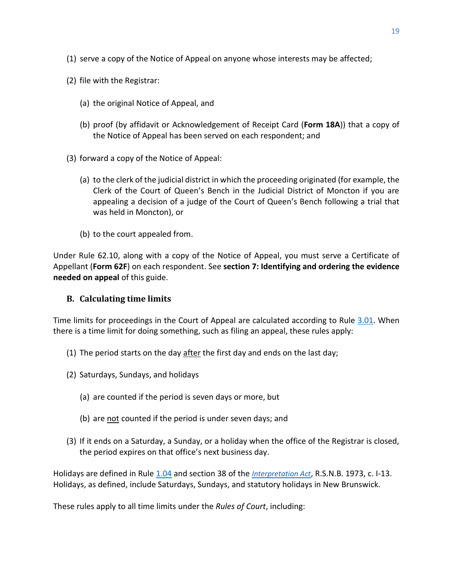- (1) serve a copy of the Notice of Appeal on anyone whose interests may be affected;
- (2) file with the Registrar:
	- (a) the original Notice of Appeal, and
	- (b) proof (by affidavit or Acknowledgement of Receipt Card (**Form 18A**)) that a copy of the Notice of Appeal has been served on each respondent; and
- (3) forward a copy of the Notice of Appeal:
	- (a) to the clerk of the judicial district in which the proceeding originated (for example, the Clerk of the Court of Queen's Bench in the Judicial District of Moncton if you are appealing a decision of a judge of the Court of Queen's Bench following a trial that was held in Moncton), or
	- (b) to the court appealed from.

Under Rule [62.10,](http://laws.gnb.ca/en/ShowPdf/cr/Rule-62.pdf) along with a copy of the Notice of Appeal, you must serve a Certificate of Appellant (**Form 62F**) on each respondent. See **[section 7: Identifying and ordering the](#page-27-0) evidence [needed on appeal](#page-27-0)** of this guide.

#### <span id="page-21-0"></span>**B. Calculating time limits**

Time limits for proceedings in the Court of Appeal are calculated according to Rule [3.01.](http://laws.gnb.ca/en/ShowPdf/cr/Rule-3.pdf) When there is a time limit for doing something, such as filing an appeal, these rules apply:

- (1) The period starts on the day  $\frac{a}{b}$  after the first day and ends on the last day;
- (2) Saturdays, Sundays, and holidays
	- (a) are counted if the period is seven days or more, but
	- (b) are not counted if the period is under seven days; and
- (3) If it ends on a Saturday, a Sunday, or a holiday when the office of the Registrar is closed, the period expires on that office's next business day.

Holidays are defined in Rule [1.04](https://laws.gnb.ca/en/ShowPdf/cr/Rule-1.pdf) and section 38 of the *[Interpretation Act](https://laws.gnb.ca/en/ShowPdf/cs/I-13.pdf)*, R.S.N.B. 1973, c. I-13. Holidays, as defined, include Saturdays, Sundays, and statutory holidays in New Brunswick.

These rules apply to all time limits under the *Rules of Court*, including: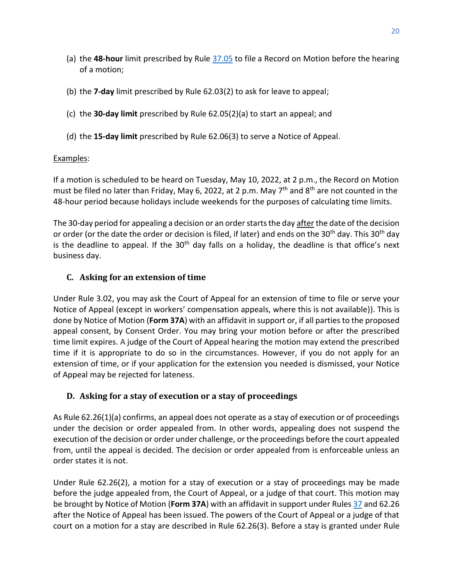- (a) the **48-hour** limit prescribed by Rule [37.05](https://laws.gnb.ca/en/ShowPdf/cr/Rule-37.pdf) to file a Record on Motion before the hearing of a motion;
- (b) the **7-day** limit prescribed by Rule 62.03(2) to ask for leave to appeal;
- (c) the **30-day limit** prescribed by Rule 62.05(2)(a) to start an appeal; and
- (d) the **15-day limit** prescribed by Rule 62.06(3) to serve a Notice of Appeal.

# Examples:

If a motion is scheduled to be heard on Tuesday, May 10, 2022, at 2 p.m., the Record on Motion must be filed no later than Friday, May 6, 2022, at 2 p.m. May  $7<sup>th</sup>$  and  $8<sup>th</sup>$  are not counted in the 48-hour period because holidays include weekends for the purposes of calculating time limits.

The 30-day period for appealing a decision or an order starts the day after the date of the decision or order (or the date the order or decision is filed, if later) and ends on the 30<sup>th</sup> day. This 30<sup>th</sup> day is the deadline to appeal. If the  $30<sup>th</sup>$  day falls on a holiday, the deadline is that office's next business day.

# <span id="page-22-0"></span>**C. Asking for an extension of time**

Under Rule [3.02,](http://laws.gnb.ca/en/ShowPdf/cr/Rule-3.pdf) you may ask the Court of Appeal for an extension of time to file or serve your Notice of Appeal (except in workers' compensation appeals, where this is not available)). This is done by Notice of Motion (**Form 37A**) with an affidavit in support or, if all partiesto the proposed appeal consent, by Consent Order. You may bring your motion before or after the prescribed time limit expires. A judge of the Court of Appeal hearing the motion may extend the prescribed time if it is appropriate to do so in the circumstances. However, if you do not apply for an extension of time, or if your application for the extension you needed is dismissed, your Notice of Appeal may be rejected for lateness.

# <span id="page-22-1"></span>**D. Asking for a stay of execution or a stay of proceedings**

As Rule 62.26(1)(a) confirms, an appeal does not operate as a stay of execution or of proceedings under the decision or order appealed from. In other words, appealing does not suspend the execution of the decision or order under challenge, or the proceedings before the court appealed from, until the appeal is decided. The decision or order appealed from is enforceable unless an order states it is not.

Under Rule 62.26(2), a motion for a stay of execution or a stay of proceedings may be made before the judge appealed from, the Court of Appeal, or a judge of that court. This motion may be brought by Notice of Motion (**Form 37A**) with an affidavit in support under Rule[s 37](http://laws.gnb.ca/en/ShowPdf/cr/Rule-37.pdf) and 62.26 after the Notice of Appeal has been issued. The powers of the Court of Appeal or a judge of that court on a motion for a stay are described in Rule 62.26(3). Before a stay is granted under Rule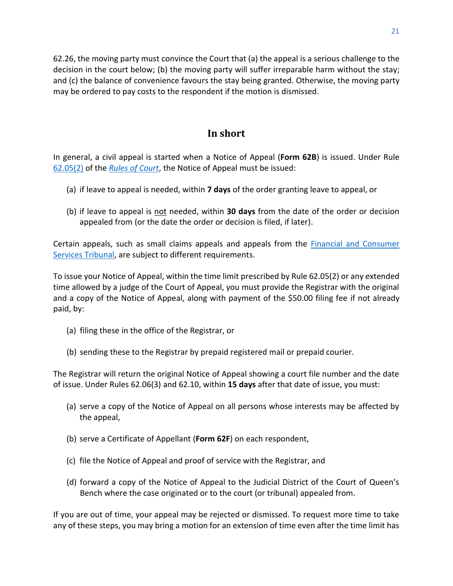62.26, the moving party must convince the Court that (a) the appeal is a serious challenge to the decision in the court below; (b) the moving party will suffer irreparable harm without the stay; and (c) the balance of convenience favours the stay being granted. Otherwise, the moving party may be ordered to pay costs to the respondent if the motion is dismissed.

# **In short**

<span id="page-23-0"></span>In general, a civil appeal is started when a Notice of Appeal (**Form 62B**) is issued. Under Rule [62.05\(2\)](http://laws.gnb.ca/en/ShowPdf/cr/Rule-62.pdf) of the *[Rules of Court](https://www2.gnb.ca/content/dam/gnb/Departments/ag-pg/PDF/en/rule/RULES.pdf)*, the Notice of Appeal must be issued:

- (a) if leave to appeal is needed, within **7 days** of the order granting leave to appeal, or
- (b) if leave to appeal is not needed, within **30 days** from the date of the order or decision appealed from (or the date the order or decision is filed, if later).

Certain appeals, such as small claims appeals and appeals from the [Financial and Consumer](http://tribunalnb.ca/about.html)  [Services Tribunal,](http://tribunalnb.ca/about.html) are subject to different requirements.

To issue your Notice of Appeal, within the time limit prescribed by Rule 62.05(2) or any extended time allowed by a judge of the Court of Appeal, you must provide the Registrar with the original and a copy of the Notice of Appeal, along with payment of the \$50.00 filing fee if not already paid, by:

- (a) filing these in the office of the Registrar, or
- (b) sending these to the Registrar by prepaid registered mail or prepaid courier.

The Registrar will return the original Notice of Appeal showing a court file number and the date of issue. Under Rules 62.06(3) and 62.10, within **15 days** after that date of issue, you must:

- (a) serve a copy of the Notice of Appeal on all persons whose interests may be affected by the appeal,
- (b) serve a Certificate of Appellant (**Form 62F**) on each respondent,
- (c) file the Notice of Appeal and proof of service with the Registrar, and
- (d) forward a copy of the Notice of Appeal to the Judicial District of the Court of Queen's Bench where the case originated or to the court (or tribunal) appealed from.

If you are out of time, your appeal may be rejected or dismissed. To request more time to take any of these steps, you may bring a motion for an extension of time even after the time limit has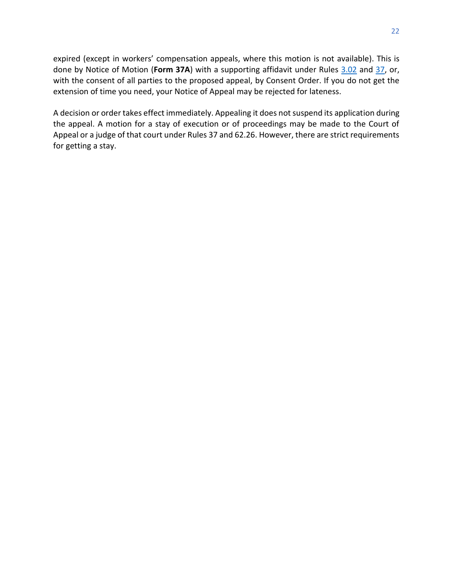expired (except in workers' compensation appeals, where this motion is not available). This is done by Notice of Motion (**Form 37A**) with a supporting affidavit under Rules [3.02](http://laws.gnb.ca/en/ShowPdf/cr/Rule-3.pdf) and [37,](http://laws.gnb.ca/en/ShowPdf/cr/Rule-37.pdf) or, with the consent of all parties to the proposed appeal, by Consent Order. If you do not get the extension of time you need, your Notice of Appeal may be rejected for lateness.

A decision or order takes effect immediately. Appealing it does not suspend its application during the appeal. A motion for a stay of execution or of proceedings may be made to the Court of Appeal or a judge of that court under Rules 37 and 62.26. However, there are strict requirements for getting a stay.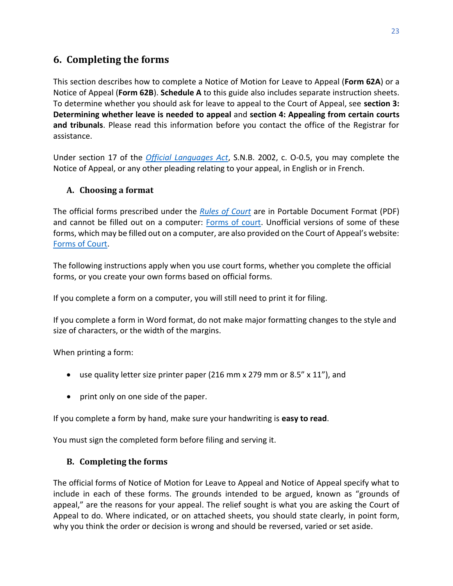# <span id="page-25-0"></span>**6. Completing the forms**

This section describes how to complete a Notice of Motion for Leave to Appeal (**Form 62A**) or a Notice of Appeal (**Form 62B**). **Schedule A** to this guide also includes separate instruction sheets. To determine whether you should ask for leave to appeal to the Court of Appeal, see **section 3: Determining whether leave is needed to appeal** and **[section 4: Appealing from certain courts](#page-14-0) [and tribunals](#page-14-0)**. Please read this information before you contact the office of the Registrar for assistance.

Under section 17 of the *[Official Languages Act](http://laws.gnb.ca/en/ShowPdf/cs/O-0.5.pdf)*, S.N.B. 2002, c. O-0.5, you may complete the Notice of Appeal, or any other pleading relating to your appeal, in English or in French.

#### <span id="page-25-1"></span>**A. Choosing a format**

The official forms prescribed under the *[Rules of Court](https://www2.gnb.ca/content/gnb/en/departments/public-safety/attorney-general/content/acts_regulations/content/rules_of_court/rules_of_court.html)* are in Portable Document Format (PDF) and cannot be filled out on a computer: [Forms](https://www2.gnb.ca/content/gnb/en/departments/public-safety/attorney-general/content/acts_regulations/content/rules_of_court/forms.html) [of court.](https://www2.gnb.ca/content/gnb/en/departments/public-safety/attorney-general/content/acts_regulations/content/rules_of_court/forms.html) Unofficial versions of some of these forms, which may be filled out on a computer, are also provided on the Court of Appeal's website: [Forms of Court.](https://www.courtsnb-coursnb.ca/content/cour/en/appeal/content/forms-of-court.html)

The following instructions apply when you use court forms, whether you complete the official forms, or you create your own forms based on official forms.

If you complete a form on a computer, you will still need to print it for filing.

If you complete a form in Word format, do not make major formatting changes to the style and size of characters, or the width of the margins.

When printing a form:

- use quality letter size printer paper (216 mm x 279 mm or 8.5" x 11"), and
- print only on one side of the paper.

If you complete a form by hand, make sure your handwriting is **easy to read**.

You must sign the completed form before filing and serving it.

#### <span id="page-25-2"></span>**B. Completing the forms**

The official forms of Notice of Motion for Leave to Appeal and Notice of Appeal specify what to include in each of these forms. The grounds intended to be argued, known as "grounds of appeal," are the reasons for your appeal. The relief sought is what you are asking the Court of Appeal to do. Where indicated, or on attached sheets, you should state clearly, in point form, why you think the order or decision is wrong and should be reversed, varied or set aside.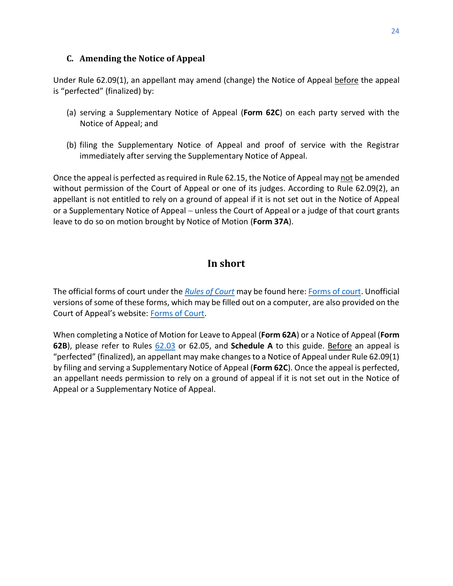#### <span id="page-26-0"></span>**C. Amending the Notice of Appeal**

Under Rule 62.09(1), an appellant may amend (change) the Notice of Appeal before the appeal is "perfected" (finalized) by:

- (a) serving a Supplementary Notice of Appeal (**Form 62C**) on each party served with the Notice of Appeal; and
- (b) filing the Supplementary Notice of Appeal and proof of service with the Registrar immediately after serving the Supplementary Notice of Appeal.

Once the appeal is perfected as required in Rule 62.15, the Notice of Appeal may not be amended without permission of the Court of Appeal or one of its judges. According to Rule 62.09(2), an appellant is not entitled to rely on a ground of appeal if it is not set out in the Notice of Appeal or a Supplementary Notice of Appeal – unless the Court of Appeal or a judge of that court grants leave to do so on motion brought by Notice of Motion (**Form 37A**).

# **In short**

<span id="page-26-1"></span>The official forms of court under the *[Rules of Court](https://www2.gnb.ca/content/dam/gnb/Departments/ag-pg/PDF/en/rule/RULES.pdf)* may be found here[: Forms](https://www2.gnb.ca/content/gnb/en/departments/public-safety/attorney-general/content/acts_regulations/content/rules_of_court/forms.html) [of court.](https://www2.gnb.ca/content/gnb/en/departments/public-safety/attorney-general/content/acts_regulations/content/rules_of_court/forms.html) Unofficial versions of some of these forms, which may be filled out on a computer, are also provided on the Court of Appeal's website: [Forms of Court.](https://www.courtsnb-coursnb.ca/content/cour/en/appeal/content/forms-of-court.html)

When completing a Notice of Motion for Leave to Appeal (**Form 62A**) or a Notice of Appeal (**Form 62B**), please refer to Rules [62.03](https://laws.gnb.ca/fr/ShowPdf/cr/Rule-62.pdf) or 62.05, and **Schedule A** to this guide. Before an appeal is "perfected" (finalized), an appellant may make changes to a Notice of Appeal under Rule 62.09(1) by filing and serving a Supplementary Notice of Appeal (**Form 62C**). Once the appeal is perfected, an appellant needs permission to rely on a ground of appeal if it is not set out in the Notice of Appeal or a Supplementary Notice of Appeal.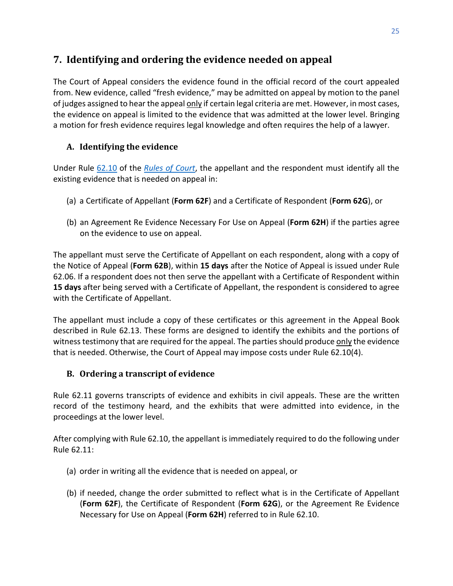# <span id="page-27-0"></span>**7. Identifying and ordering the evidence needed on appeal**

The Court of Appeal considers the evidence found in the official record of the court appealed from. New evidence, called "fresh evidence," may be admitted on appeal by motion to the panel of judges assigned to hear the appeal only if certain legal criteria are met. However, in most cases, the evidence on appeal is limited to the evidence that was admitted at the lower level. Bringing a motion for fresh evidence requires legal knowledge and often requires the help of a lawyer.

# <span id="page-27-1"></span>**A. Identifying the evidence**

Under Rule [62.10](http://laws.gnb.ca/en/ShowPdf/cr/Rule-62.pdf) of the *[Rules of Court](https://www2.gnb.ca/content/dam/gnb/Departments/ag-pg/PDF/en/rule/RULES.pdf)*, the appellant and the respondent must identify all the existing evidence that is needed on appeal in:

- (a) a Certificate of Appellant (**Form 62F**) and a Certificate of Respondent (**Form 62G**), or
- (b) an Agreement Re Evidence Necessary For Use on Appeal (**Form 62H**) if the parties agree on the evidence to use on appeal.

The appellant must serve the Certificate of Appellant on each respondent, along with a copy of the Notice of Appeal (**Form 62B**), within **15 days** after the Notice of Appeal is issued under Rule 62.06. If a respondent does not then serve the appellant with a Certificate of Respondent within **15 days** after being served with a Certificate of Appellant, the respondent is considered to agree with the Certificate of Appellant.

The appellant must include a copy of these certificates or this agreement in the Appeal Book described in Rule 62.13. These forms are designed to identify the exhibits and the portions of witness testimony that are required for the appeal. The parties should produce only the evidence that is needed. Otherwise, the Court of Appeal may impose costs under Rule 62.10(4).

## <span id="page-27-2"></span>**B. Ordering a transcript of evidence**

Rule 62.11 governs transcripts of evidence and exhibits in civil appeals. These are the written record of the testimony heard, and the exhibits that were admitted into evidence, in the proceedings at the lower level.

After complying with Rule 62.10, the appellant is immediately required to do the following under Rule 62.11:

- (a) order in writing all the evidence that is needed on appeal, or
- (b) if needed, change the order submitted to reflect what is in the Certificate of Appellant (**Form 62F**), the Certificate of Respondent (**Form 62G**), or the Agreement Re Evidence Necessary for Use on Appeal (**Form 62H**) referred to in Rule 62.10.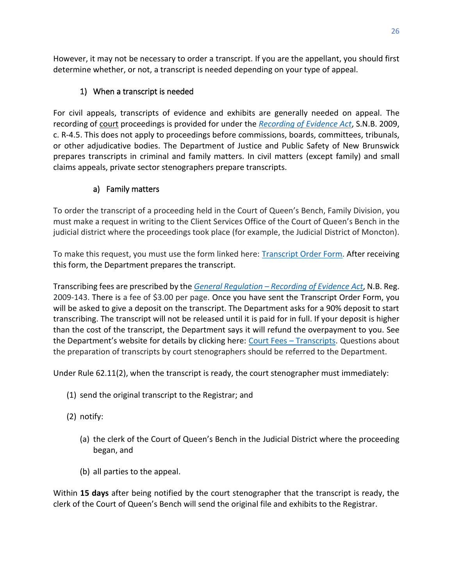However, it may not be necessary to order a transcript. If you are the appellant, you should first determine whether, or not, a transcript is needed depending on your type of appeal.

# 1) When a transcript is needed

<span id="page-28-0"></span>For civil appeals, transcripts of evidence and exhibits are generally needed on appeal. The recording of court proceedings is provided for under the *[Recording of Evidence Act](http://laws.gnb.ca/en/ShowPdf/cs/R-4.5.pdf)*, S.N.B. 2009, c. R-4.5. This does not apply to proceedings before commissions, boards, committees, tribunals, or other adjudicative bodies. The Department of Justice and Public Safety of New Brunswick prepares transcripts in criminal and family matters. In civil matters (except family) and small claims appeals, private sector stenographers prepare transcripts.

# a) Family matters

To order the transcript of a proceeding held in the Court of Queen's Bench, Family Division, you must make a request in writing to the Client Services Office of the Court of Queen's Bench in the judicial district where the proceedings took place (for example, the Judicial District of Moncton).

To make this request, you must use the form linked here: **[Transcript Order Form.](https://www.pxw1.snb.ca/snb7001/b/1000/CSS-FOL-SNB-45-0100B.pdf)** After receiving this form, the Department prepares the transcript.

Transcribing fees are prescribed by the *General Regulation – [Recording of Evidence](http://laws.gnb.ca/en/ShowPdf/cr/2009-143.pdf) Act*, N.B. Reg. 2009-143. There is a fee of \$3.00 per page. Once you have sent the Transcript Order Form, you will be asked to give a deposit on the transcript. The Department asks for a 90% deposit to start transcribing. The transcript will not be released until it is paid for in full. If your deposit is higher than the cost of the transcript, the Department says it will refund the overpayment to you. See the Department's website for details by clicking here: Court Fees - [Transcripts.](https://www2.gnb.ca/content/gnb/en/services/services_renderer.627.Court_Fees_-_Transcripts.html) Questions about the preparation of transcripts by court stenographers should be referred to the Department.

Under Rule [62.11\(2\),](http://laws.gnb.ca/en/ShowPdf/cr/Rule-62.pdf) when the transcript is ready, the court stenographer must immediately:

- (1) send the original transcript to the Registrar; and
- (2) notify:
	- (a) the clerk of the Court of Queen's Bench in the Judicial District where the proceeding began, and
	- (b) all parties to the appeal.

Within **15 days** after being notified by the court stenographer that the transcript is ready, the clerk of the Court of Queen's Bench will send the original file and exhibits to the Registrar.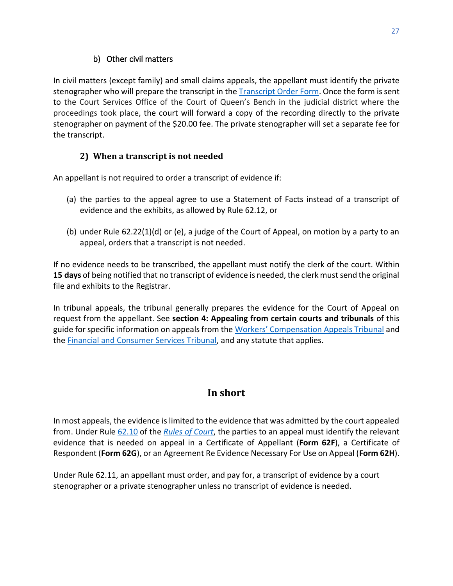## b) Other civil matters

In civil matters (except family) and small claims appeals, the appellant must identify the private stenographer who will prepare the transcript in the [Transcript Order Form.](https://www.pxw1.snb.ca/snb7001/b/1000/CSS-FOL-SNB-45-0100B.pdf) Once the form is sent to the Court Services Office of the Court of Queen's Bench in the judicial district where the proceedings took place, the court will forward a copy of the recording directly to the private stenographer on payment of the \$20.00 fee. The private stenographer will set a separate fee for the transcript.

# **2) When a transcript is not needed**

<span id="page-29-0"></span>An appellant is not required to order a transcript of evidence if:

- (a) the parties to the appeal agree to use a Statement of Facts instead of a transcript of evidence and the exhibits, as allowed by Rule 62.12, or
- (b) under Rule 62.22(1)(d) or (e), a judge of the Court of Appeal, on motion by a party to an appeal, orders that a transcript is not needed.

If no evidence needs to be transcribed, the appellant must notify the clerk of the court. Within **15 days** of being notified that no transcript of evidence is needed, the clerk must send the original file and exhibits to the Registrar.

In tribunal appeals, the tribunal generally prepares the evidence for the Court of Appeal on request from the appellant. See **[section 4: Appealing from certain courts and tribunals](#page-17-0)** of this guide for specific information on appeals from the [Workers' Compensation Appeals Tribunal](https://nbwcat-taatnb.ca/en) and the [Financial and Consumer Services Tribunal,](http://tribunalnb.ca/about.html) and any statute that applies.

# **In short**

<span id="page-29-1"></span>In most appeals, the evidence is limited to the evidence that was admitted by the court appealed from. Under Rule [62.10](http://laws.gnb.ca/en/ShowPdf/cr/Rule-62.pdf) of the *[Rules of Court](https://www2.gnb.ca/content/dam/gnb/Departments/ag-pg/PDF/en/rule/RULES.pdf)*, the parties to an appeal must identify the relevant evidence that is needed on appeal in a Certificate of Appellant (**Form 62F**), a Certificate of Respondent (**Form 62G**), or an Agreement Re Evidence Necessary For Use on Appeal (**Form 62H**).

<span id="page-29-2"></span>Under Rule 62.11, an appellant must order, and pay for, a transcript of evidence by a court stenographer or a private stenographer unless no transcript of evidence is needed.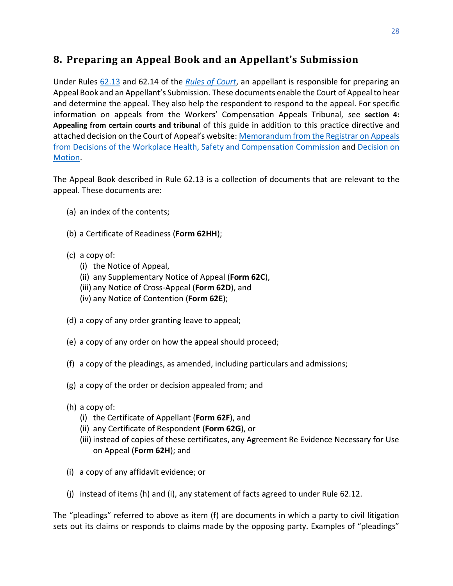# <span id="page-30-0"></span>**8. Preparing an Appeal Book and an Appellant's Submission**

Under Rules [62.13](http://laws.gnb.ca/en/ShowPdf/cr/Rule-62.pdf) and 62.14 of the *[Rules of Court](https://www2.gnb.ca/content/dam/gnb/Departments/ag-pg/PDF/en/rule/RULES.pdf)*, an appellant is responsible for preparing an Appeal Book and an Appellant's Submission. These documents enable the Court of Appeal to hear and determine the appeal. They also help the respondent to respond to the appeal. For specific information on appeals from the Workers' Compensation Appeals Tribunal, see **[section 4:](#page-17-0)  [Appealing from certain courts and tribunal](#page-17-0)** of this guide in addition to this practice directive and attached decision on the Court of Appeal's website: [Memorandum from the Registrar on Appeals](https://www.courtsnb-coursnb.ca/content/dam/courts/pdf/appeal-appel/pd-aa/PD-AA-13.pdf)  [from Decisions of the Workplace Health, Safety and Compensation Commission](https://www.courtsnb-coursnb.ca/content/dam/courts/pdf/appeal-appel/pd-aa/PD-AA-13.pdf) and [Decision on](https://www.canlii.org/en/nb/nbca/doc/1996/1996canlii18662/1996canlii18662.pdf)  [Motion.](https://www.canlii.org/en/nb/nbca/doc/1996/1996canlii18662/1996canlii18662.pdf)

The Appeal Book described in Rule 62.13 is a collection of documents that are relevant to the appeal. These documents are:

- (a) an index of the contents;
- (b) a Certificate of Readiness (**Form 62HH**);
- (c) a copy of:
	- (i) the Notice of Appeal,
	- (ii) any Supplementary Notice of Appeal (**Form 62C**),
	- (iii) any Notice of Cross-Appeal (**Form 62D**), and
	- (iv) any Notice of Contention (**Form 62E**);
- (d) a copy of any order granting leave to appeal;
- (e) a copy of any order on how the appeal should proceed;
- (f) a copy of the pleadings, as amended, including particulars and admissions;
- (g) a copy of the order or decision appealed from; and
- (h) a copy of:
	- (i) the Certificate of Appellant (**Form 62F**), and
	- (ii) any Certificate of Respondent (**Form 62G**), or
	- (iii) instead of copies of these certificates, any Agreement Re Evidence Necessary for Use on Appeal (**Form 62H**); and
- (i) a copy of any affidavit evidence; or
- (j) instead of items (h) and (i), any statement of facts agreed to under Rule 62.12.

The "pleadings" referred to above as item (f) are documents in which a party to civil litigation sets out its claims or responds to claims made by the opposing party. Examples of "pleadings"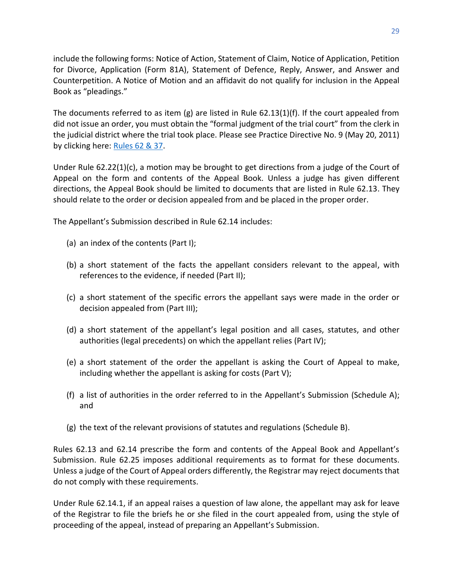include the following forms: Notice of Action, Statement of Claim, Notice of Application, Petition for Divorce, Application (Form 81A), Statement of Defence, Reply, Answer, and Answer and Counterpetition. A Notice of Motion and an affidavit do not qualify for inclusion in the Appeal Book as "pleadings."

The documents referred to as item (g) are listed in Rule  $62.13(1)(f)$ . If the court appealed from did not issue an order, you must obtain the "formal judgment of the trial court" from the clerk in the judicial district where the trial took place. Please see Practice Directive No. 9 (May 20, 2011) by clicking here: [Rules 62 & 37.](https://www.courtsnb-coursnb.ca/content/dam/courts/pdf/appeal-appel/pd-aa/PD-AA-11.pdf)

Under Rule 62.22(1)(c), a motion may be brought to get directions from a judge of the Court of Appeal on the form and contents of the Appeal Book. Unless a judge has given different directions, the Appeal Book should be limited to documents that are listed in Rule 62.13. They should relate to the order or decision appealed from and be placed in the proper order.

The Appellant's Submission described in Rule 62.14 includes:

- (a) an index of the contents (Part I);
- (b) a short statement of the facts the appellant considers relevant to the appeal, with references to the evidence, if needed (Part II);
- (c) a short statement of the specific errors the appellant says were made in the order or decision appealed from (Part III);
- (d) a short statement of the appellant's legal position and all cases, statutes, and other authorities (legal precedents) on which the appellant relies (Part IV);
- (e) a short statement of the order the appellant is asking the Court of Appeal to make, including whether the appellant is asking for costs (Part V);
- (f) a list of authorities in the order referred to in the Appellant's Submission (Schedule A); and
- (g) the text of the relevant provisions of statutes and regulations (Schedule B).

Rules 62.13 and 62.14 prescribe the form and contents of the Appeal Book and Appellant's Submission. Rule 62.25 imposes additional requirements as to format for these documents. Unless a judge of the Court of Appeal orders differently, the Registrar may reject documents that do not comply with these requirements.

Under Rule 62.14.1, if an appeal raises a question of law alone, the appellant may ask for leave of the Registrar to file the briefs he or she filed in the court appealed from, using the style of proceeding of the appeal, instead of preparing an Appellant's Submission.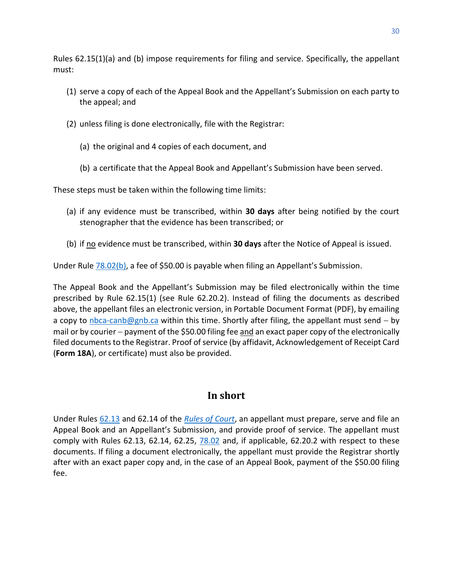Rules 62.15(1)(a) and (b) impose requirements for filing and service. Specifically, the appellant must:

- (1) serve a copy of each of the Appeal Book and the Appellant's Submission on each party to the appeal; and
- (2) unless filing is done electronically, file with the Registrar:
	- (a) the original and 4 copies of each document, and
	- (b) a certificate that the Appeal Book and Appellant's Submission have been served.

These steps must be taken within the following time limits:

- (a) if any evidence must be transcribed, within **30 days** after being notified by the court stenographer that the evidence has been transcribed; or
- (b) if no evidence must be transcribed, within **30 days** after the Notice of Appeal is issued.

Under Rule [78.02\(b\),](http://laws.gnb.ca/en/ShowPdf/cr/Rule-78.pdf) a fee of \$50.00 is payable when filing an Appellant's Submission.

The Appeal Book and the Appellant's Submission may be filed electronically within the time prescribed by Rule 62.15(1) (see Rule 62.20.2). Instead of filing the documents as described above, the appellant files an electronic version, in Portable Document Format (PDF), by emailing a copy to [nbca-canb@gnb.ca](mailto:nbca-canb@gnb.ca) within this time. Shortly after filing, the appellant must send – by mail or by courier – payment of the \$50.00 filing fee and an exact paper copy of the electronically filed documents to the Registrar. Proof of service (by affidavit, Acknowledgement of Receipt Card (**Form 18A**), or certificate) must also be provided.

# **In short**

<span id="page-32-0"></span>Under Rules [62.13](http://laws.gnb.ca/en/ShowPdf/cr/Rule-62.pdf) and 62.14 of the *[Rules of Court](https://www2.gnb.ca/content/dam/gnb/Departments/ag-pg/PDF/en/rule/RULES.pdf)*, an appellant must prepare, serve and file an Appeal Book and an Appellant's Submission, and provide proof of service. The appellant must comply with Rules 62.13, 62.14, 62.25, [78.02](http://laws.gnb.ca/en/ShowPdf/cr/Rule-78.pdf) and, if applicable, 62.20.2 with respect to these documents. If filing a document electronically, the appellant must provide the Registrar shortly after with an exact paper copy and, in the case of an Appeal Book, payment of the \$50.00 filing fee.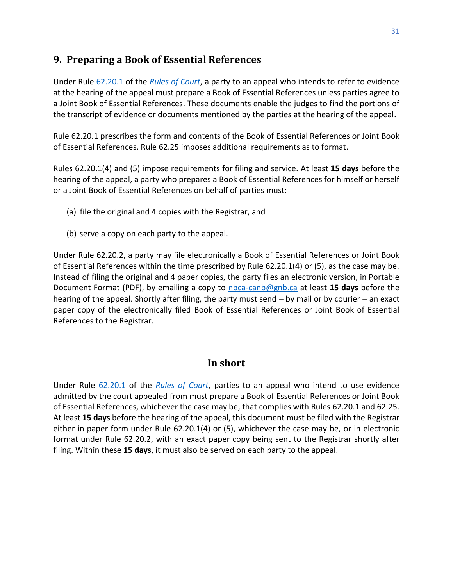# <span id="page-33-0"></span>**9. Preparing a Book of Essential References**

Under Rule [62.20.1](http://laws.gnb.ca/en/ShowPdf/cr/Rule-62.pdf) of the *[Rules of Court](https://www2.gnb.ca/content/dam/gnb/Departments/ag-pg/PDF/en/rule/RULES.pdf)*, a party to an appeal who intends to refer to evidence at the hearing of the appeal must prepare a Book of Essential References unless parties agree to a Joint Book of Essential References. These documents enable the judges to find the portions of the transcript of evidence or documents mentioned by the parties at the hearing of the appeal.

Rule 62.20.1 prescribes the form and contents of the Book of Essential References or Joint Book of Essential References. Rule 62.25 imposes additional requirements as to format.

Rules [62.20.1\(4\)](http://laws.gnb.ca/en/ShowPdf/cr/Rule-62.pdf) and [\(5\)](http://laws.gnb.ca/en/ShowPdf/cr/Rule-62.pdf) impose requirements for filing and service. At least **15 days** before the hearing of the appeal, a party who prepares a Book of Essential References for himself or herself or a Joint Book of Essential References on behalf of parties must:

- (a) file the original and 4 copies with the Registrar, and
- (b) serve a copy on each party to the appeal.

Under Rule 62.20.2, a party may file electronically a Book of Essential References or Joint Book of Essential References within the time prescribed by Rule 62.20.1(4) or (5), as the case may be. Instead of filing the original and 4 paper copies, the party files an electronic version, in Portable Document Format (PDF), by emailing a copy to [nbca-canb@gnb.ca](mailto:nbca-canb@gnb.ca) at least **15 days** before the hearing of the appeal. Shortly after filing, the party must send − by mail or by courier − an exact paper copy of the electronically filed Book of Essential References or Joint Book of Essential References to the Registrar.

## **In short**

<span id="page-33-1"></span>Under Rule [62.20.1](http://laws.gnb.ca/en/ShowPdf/cr/Rule-62.pdf) of the *[Rules of Court](https://www2.gnb.ca/content/dam/gnb/Departments/ag-pg/PDF/en/rule/RULES.pdf)*, parties to an appeal who intend to use evidence admitted by the court appealed from must prepare a Book of Essential References or Joint Book of Essential References, whichever the case may be, that complies with Rules 62.20.1 and 62.25. At least **15 days** before the hearing of the appeal, this document must be filed with the Registrar either in paper form under Rule 62.20.1(4) or (5), whichever the case may be, or in electronic format under Rule 62.20.2, with an exact paper copy being sent to the Registrar shortly after filing. Within these **15 days**, it must also be served on each party to the appeal.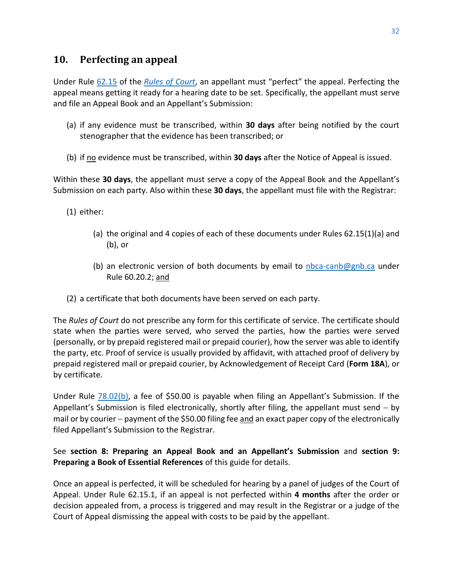# <span id="page-34-0"></span>**10. Perfecting an appeal**

Under Rule [62.15](http://laws.gnb.ca/en/ShowPdf/cr/Rule-62.pdf) of the *[Rules of Court](https://www2.gnb.ca/content/dam/gnb/Departments/ag-pg/PDF/en/rule/RULES.pdf)*, an appellant must "perfect" the appeal. Perfecting the appeal means getting it ready for a hearing date to be set. Specifically, the appellant must serve and file an Appeal Book and an Appellant's Submission:

- (a) if any evidence must be transcribed, within **30 days** after being notified by the court stenographer that the evidence has been transcribed; or
- (b) if no evidence must be transcribed, within **30 days** after the Notice of Appeal is issued.

Within these **30 days**, the appellant must serve a copy of the Appeal Book and the Appellant's Submission on each party. Also within these **30 days**, the appellant must file with the Registrar:

- (1) either:
	- (a) the original and 4 copies of each of these documents under Rules 62.15(1)(a) and (b), or
	- (b) an electronic version of both documents by email to  $nbca-canb@gnb.ca$  under Rule 60.20.2; and
- (2) a certificate that both documents have been served on each party.

The *Rules of Court* do not prescribe any form for this certificate of service. The certificate should state when the parties were served, who served the parties, how the parties were served (personally, or by prepaid registered mail or prepaid courier), how the server was able to identify the party, etc. Proof of service is usually provided by affidavit, with attached proof of delivery by prepaid registered mail or prepaid courier, by Acknowledgement of Receipt Card (**Form 18A**), or by certificate.

Under Rule [78.02\(b\)](http://laws.gnb.ca/en/ShowPdf/cr/Rule-78.pdf), a fee of \$50.00 is payable when filing an Appellant's Submission. If the Appellant's Submission is filed electronically, shortly after filing, the appellant must send − by mail or by courier – payment of the \$50.00 filing fee and an exact paper copy of the electronically filed Appellant's Submission to the Registrar.

#### See **[section 8: Preparing an](#page-29-2) Appeal Book and an Appellant's Submission** and **[section 9:](#page-33-0)  [Preparing a Book of Essential References](#page-33-0)** of this guide for details.

Once an appeal is perfected, it will be scheduled for hearing by a panel of judges of the Court of Appeal. Under Rule 62.15.1, if an appeal is not perfected within **4 months** after the order or decision appealed from, a process is triggered and may result in the Registrar or a judge of the Court of Appeal dismissing the appeal with costs to be paid by the appellant.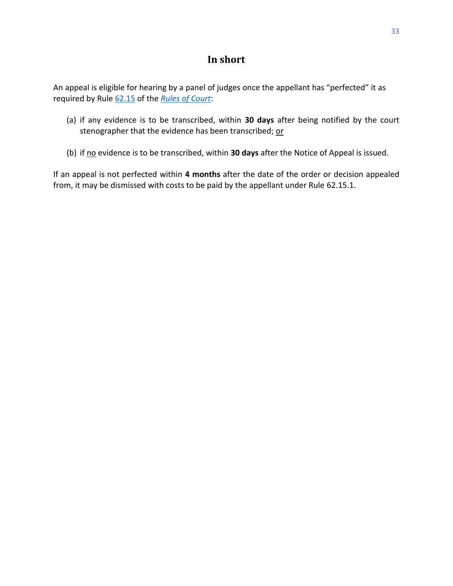# **In short**

<span id="page-35-0"></span>An appeal is eligible for hearing by a panel of judges once the appellant has "perfected" it as required by Rule [62.15](http://laws.gnb.ca/en/ShowPdf/cr/Rule-62.pdf) of the *[Rules of Court](https://www2.gnb.ca/content/dam/gnb/Departments/ag-pg/PDF/en/rule/RULES.pdf)*:

- (a) if any evidence is to be transcribed, within **30 days** after being notified by the court stenographer that the evidence has been transcribed; or
- (b) if no evidence is to be transcribed, within 30 days after the Notice of Appeal is issued.

If an appeal is not perfected within **4 months** after the date of the order or decision appealed from, it may be dismissed with costs to be paid by the appellant under Rule [62.15.1.](http://laws.gnb.ca/en/ShowPdf/cr/Rule-62.pdf)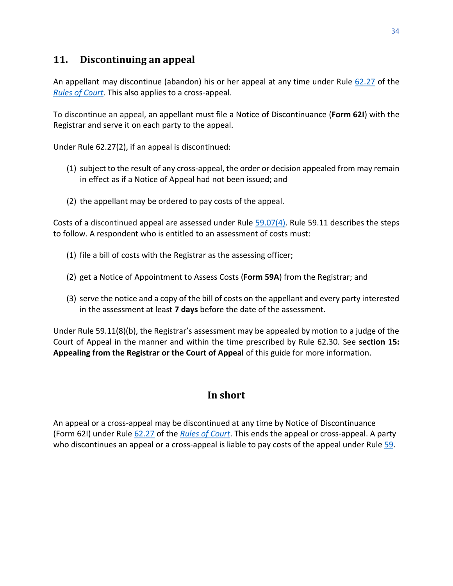# <span id="page-36-0"></span>**11. Discontinuing an appeal**

An appellant may discontinue (abandon) his or her appeal at any time under Rule [62.27](http://laws.gnb.ca/en/ShowPdf/cr/Rule-62.pdf) of the *[Rules of Court](https://www2.gnb.ca/content/dam/gnb/Departments/ag-pg/PDF/en/rule/RULES.pdf)*. This also applies to a cross-appeal.

To discontinue an appeal, an appellant must file a Notice of Discontinuance (**Form 62I**) with the Registrar and serve it on each party to the appeal.

Under Rule [62.27\(2\),](http://laws.gnb.ca/en/ShowPdf/cr/Rule-62.pdf) if an appeal is discontinued:

- (1) subject to the result of any cross-appeal, the order or decision appealed from may remain in effect as if a Notice of Appeal had not been issued; and
- (2) the appellant may be ordered to pay costs of the appeal.

Costs of a discontinued appeal are assessed under Rule  $59.07(4)$ . Rule [59.11](http://laws.gnb.ca/en/ShowPdf/cr/Rule-59.pdf) describes the steps to follow. A respondent who is entitled to an assessment of costs must:

- (1) file a bill of costs with the Registrar as the assessing officer;
- (2) get a Notice of Appointment to Assess Costs (**Form 59A**) from the Registrar; and
- (3) serve the notice and a copy of the bill of costs on the appellant and every party interested in the assessment at least **7 days** before the date of the assessment.

Under Rule 59.11(8)(b), the Registrar's assessment may be appealed by motion to a judge of the Court of Appeal in the manner and within the time prescribed by Rule 62.30. See **[section 15:](#page-43-2)  [Appealing from the Registrar or the Court of Appeal](#page-43-2)** of this guide for more information.

# **In short**

<span id="page-36-1"></span>An appeal or a cross-appeal may be discontinued at any time by Notice of Discontinuance (Form 62I) under Rule [62.27](http://laws.gnb.ca/en/ShowPdf/cr/Rule-62.pdf) of the *[Rules of Court](https://www2.gnb.ca/content/dam/gnb/Departments/ag-pg/PDF/en/rule/RULES.pdf)*. This ends the appeal or cross-appeal. A party who discontinues an appeal or a cross-appeal is liable to pay costs of the appeal under Rul[e 59.](http://laws.gnb.ca/en/ShowPdf/cr/Rule-59.pdf)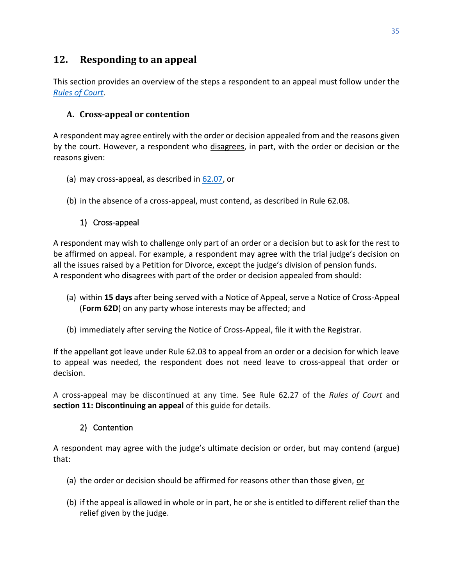# <span id="page-37-0"></span>**12. Responding to an appeal**

This section provides an overview of the steps a respondent to an appeal must follow under the *[Rules of Court](https://www2.gnb.ca/content/dam/gnb/Departments/ag-pg/PDF/en/rule/RULES.pdf)*.

## <span id="page-37-1"></span>**A. Cross-appeal or contention**

A respondent may agree entirely with the order or decision appealed from and the reasons given by the court. However, a respondent who disagrees, in part, with the order or decision or the reasons given:

- (a) may cross-appeal, as described in [62.07,](http://laws.gnb.ca/en/ShowPdf/cr/Rule-62.pdf) or
- (b) in the absence of a cross-appeal, must contend, as described in Rule 62.08.

## 1) Cross-appeal

<span id="page-37-2"></span>A respondent may wish to challenge only part of an order or a decision but to ask for the rest to be affirmed on appeal. For example, a respondent may agree with the trial judge's decision on all the issues raised by a Petition for Divorce, except the judge's division of pension funds. A respondent who disagrees with part of the order or decision appealed from should:

- (a) within **15 days** after being served with a Notice of Appeal, serve a Notice of Cross-Appeal (**Form 62D**) on any party whose interests may be affected; and
- (b) immediately after serving the Notice of Cross-Appeal, file it with the Registrar.

If the appellant got leave under Rule 62.03 to appeal from an order or a decision for which leave to appeal was needed, the respondent does not need leave to cross-appeal that order or decision.

A cross-appeal may be discontinued at any time. See Rule 62.27 of the *Rules of Court* and **section [11: Discontinuing an appeal](#page-36-0)** of this guide for details.

## 2) Contention

<span id="page-37-3"></span>A respondent may agree with the judge's ultimate decision or order, but may contend (argue) that:

- (a) the order or decision should be affirmed for reasons other than those given, or
- (b) if the appeal is allowed in whole or in part, he or she is entitled to different relief than the relief given by the judge.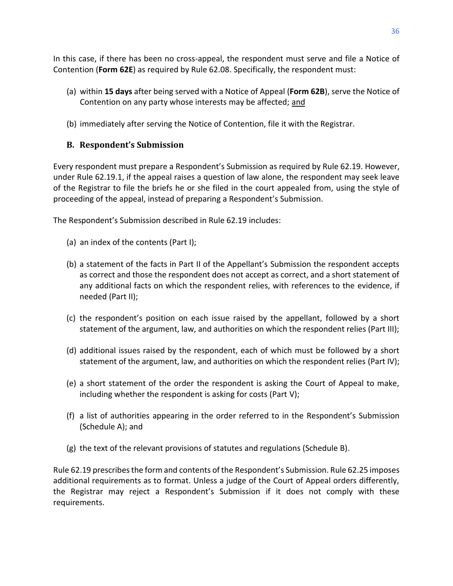In this case, if there has been no cross-appeal, the respondent must serve and file a Notice of Contention (**Form 62E**) as required by Rule 62.08. Specifically, the respondent must:

- (a) within **15 days** after being served with a Notice of Appeal (**Form 62B**), serve the Notice of Contention on any party whose interests may be affected; and
- <span id="page-38-0"></span>(b) immediately after serving the Notice of Contention, file it with the Registrar.

## **B. Respondent's Submission**

Every respondent must prepare a Respondent's Submission as required by Rule 62.19. However, under Rule 62.19.1, if the appeal raises a question of law alone, the respondent may seek leave of the Registrar to file the briefs he or she filed in the court appealed from, using the style of proceeding of the appeal, instead of preparing a Respondent's Submission.

The Respondent's Submission described in Rule 62.19 includes:

- (a) an index of the contents (Part I);
- (b) a statement of the facts in Part II of the Appellant's Submission the respondent accepts as correct and those the respondent does not accept as correct, and a short statement of any additional facts on which the respondent relies, with references to the evidence, if needed (Part II);
- (c) the respondent's position on each issue raised by the appellant, followed by a short statement of the argument, law, and authorities on which the respondent relies (Part III);
- (d) additional issues raised by the respondent, each of which must be followed by a short statement of the argument, law, and authorities on which the respondent relies (Part IV);
- (e) a short statement of the order the respondent is asking the Court of Appeal to make, including whether the respondent is asking for costs (Part V);
- (f) a list of authorities appearing in the order referred to in the Respondent's Submission (Schedule A); and
- (g) the text of the relevant provisions of statutes and regulations (Schedule B).

Rule 62.19 prescribesthe form and contents of the Respondent's Submission. Rule 62.25 imposes additional requirements as to format. Unless a judge of the Court of Appeal orders differently, the Registrar may reject a Respondent's Submission if it does not comply with these requirements.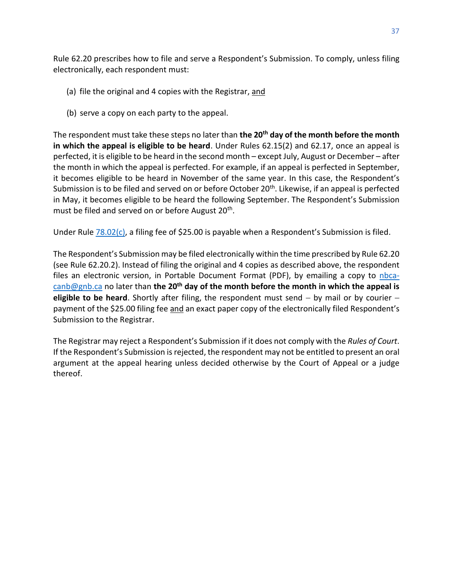Rule 62.20 prescribes how to file and serve a Respondent's Submission. To comply, unless filing electronically, each respondent must:

- (a) file the original and 4 copies with the Registrar, and
- (b) serve a copy on each party to the appeal.

The respondent must take these steps no later than **the 20th day of the month before the month in which the appeal is eligible to be heard**. Under Rules 62.15(2) and 62.17, once an appeal is perfected, it is eligible to be heard in the second month – except July, August or December – after the month in which the appeal is perfected. For example, if an appeal is perfected in September, it becomes eligible to be heard in November of the same year. In this case, the Respondent's Submission is to be filed and served on or before October 20<sup>th</sup>. Likewise, if an appeal is perfected in May, it becomes eligible to be heard the following September. The Respondent's Submission must be filed and served on or before August 20<sup>th</sup>.

Under Rule [78.02\(c\),](http://laws.gnb.ca/en/ShowPdf/cr/Rule-78.pdf) a filing fee of \$25.00 is payable when a Respondent's Submission is filed.

The Respondent's Submission may be filed electronically within the time prescribed by Rule 62.20 (see Rule 62.20.2). Instead of filing the original and 4 copies as described above, the respondent files an electronic version, in Portable Document Format (PDF), by emailing a copy to  $nbca$ [canb@gnb.ca](mailto:nbca-canb@gnb.ca) no later than **the 20th day of the month before the month in which the appeal is eligible to be heard**. Shortly after filing, the respondent must send − by mail or by courier − payment of the \$25.00 filing fee and an exact paper copy of the electronically filed Respondent's Submission to the Registrar.

The Registrar may reject a Respondent's Submission if it does not comply with the *Rules of Court*. If the Respondent's Submission is rejected, the respondent may not be entitled to present an oral argument at the appeal hearing unless decided otherwise by the Court of Appeal or a judge thereof.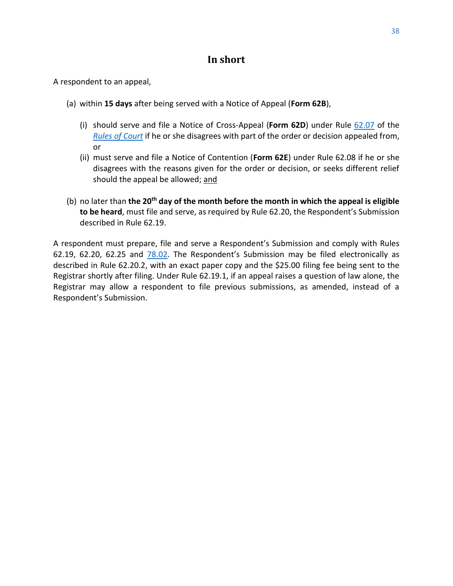## **In short**

<span id="page-40-0"></span>A respondent to an appeal,

- (a) within **15 days** after being served with a Notice of Appeal (**Form 62B**),
	- (i) should serve and file a Notice of Cross-Appeal (**Form 62D**) under Rule [62.07](http://laws.gnb.ca/en/ShowPdf/cr/Rule-62.pdf) of the *[Rules of Court](https://www2.gnb.ca/content/dam/gnb/Departments/ag-pg/PDF/en/rule/RULES.pdf)* if he or she disagrees with part of the order or decision appealed from, or
	- (ii) must serve and file a Notice of Contention (**Form 62E**) under Rule 62.08 if he or she disagrees with the reasons given for the order or decision, or seeks different relief should the appeal be allowed; and
- (b) no later than **the 20th day of the month before the month in which the appeal is eligible to be heard**, must file and serve, as required by Rule 62.20, the Respondent's Submission described in Rule 62.19.

A respondent must prepare, file and serve a Respondent's Submission and comply with Rules 62.19, 62.20, 62.25 and [78.02](http://laws.gnb.ca/en/ShowPdf/cr/Rule-78.pdf). The Respondent's Submission may be filed electronically as described in Rule 62.20.2, with an exact paper copy and the \$25.00 filing fee being sent to the Registrar shortly after filing. Under Rule 62.19.1, if an appeal raises a question of law alone, the Registrar may allow a respondent to file previous submissions, as amended, instead of a Respondent's Submission.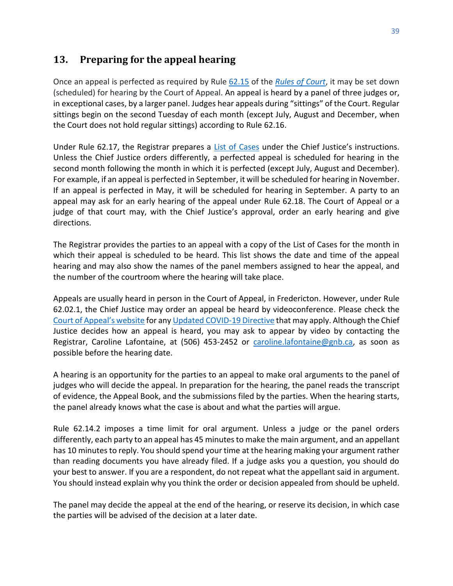# <span id="page-41-0"></span>**13. Preparing for the appeal hearing**

Once an appeal is perfected as required by Rule [62.15](http://laws.gnb.ca/en/ShowPdf/cr/Rule-62.pdf) of the *[Rules of Court](https://www2.gnb.ca/content/gnb/en/departments/public-safety/attorney-general/content/acts_regulations/content/rules_of_court/rules_of_court.html)*, it may be set down (scheduled) for hearing by the Court of Appeal. An appeal is heard by a panel of three judges or, in exceptional cases, by a larger panel. Judges hear appeals during "sittings" of the Court. Regular sittings begin on the second Tuesday of each month (except July, August and December, when the Court does not hold regular sittings) according to Rule [62.16.](http://laws.gnb.ca/en/ShowPdf/cr/Rule-62.pdf)

Under Rule 62.17, the Registrar prepares a [List of Cases](https://www.courtsnb-coursnb.ca/content/cour/en/appeal/content/cases.html) under the Chief Justice's instructions. Unless the Chief Justice orders differently, a perfected appeal is scheduled for hearing in the second month following the month in which it is perfected (except July, August and December). For example, if an appeal is perfected in September, it will be scheduled for hearing in November. If an appeal is perfected in May, it will be scheduled for hearing in September. A party to an appeal may ask for an early hearing of the appeal under Rule [62.18.](http://laws.gnb.ca/en/ShowPdf/cr/Rule-63.pdf) The Court of Appeal or a judge of that court may, with the Chief Justice's approval, order an early hearing and give directions.

The Registrar provides the parties to an appeal with a copy of the List of Cases for the month in which their appeal is scheduled to be heard. This list shows the date and time of the appeal hearing and may also show the names of the panel members assigned to hear the appeal, and the number of the courtroom where the hearing will take place.

Appeals are usually heard in person in the Court of Appeal, in Fredericton. However, under Rule 62.02.1, the Chief Justice may order an appeal be heard by videoconference. Please check the [Court of Appeal's website](https://www.courtsnb-coursnb.ca/content/cour/en/appeal.html) for an[y Updated COVID-19 Directive](https://www.courtsnb-coursnb.ca/content/dam/courts/pdf/nbca-updated-directive-1.pdf) that may apply. Although the Chief Justice decides how an appeal is heard, you may ask to appear by video by contacting the Registrar, Caroline Lafontaine, at (506) 453-2452 or [caroline.lafontaine@gnb.ca,](mailto:caroline.lafontaine@gnb.ca) as soon as possible before the hearing date.

A hearing is an opportunity for the parties to an appeal to make oral arguments to the panel of judges who will decide the appeal. In preparation for the hearing, the panel reads the transcript of evidence, the Appeal Book, and the submissions filed by the parties. When the hearing starts, the panel already knows what the case is about and what the parties will argue.

Rule 62.14.2 imposes a time limit for oral argument. Unless a judge or the panel orders differently, each party to an appeal has 45 minutes to make the main argument, and an appellant has 10 minutes to reply. You should spend your time at the hearing making your argument rather than reading documents you have already filed. If a judge asks you a question, you should do your best to answer. If you are a respondent, do not repeat what the appellant said in argument. You should instead explain why you think the order or decision appealed from should be upheld.

The panel may decide the appeal at the end of the hearing, or reserve its decision, in which case the parties will be advised of the decision at a later date.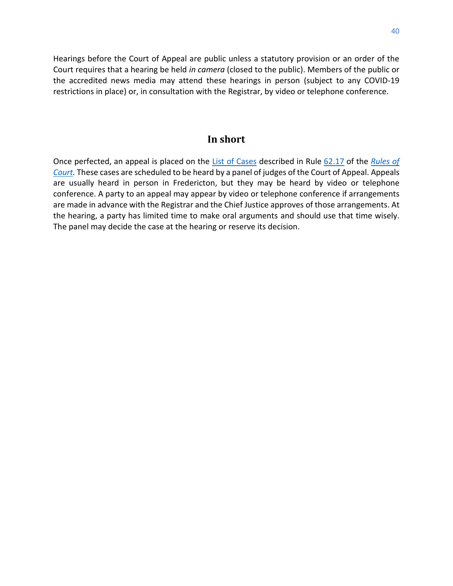Hearings before the Court of Appeal are public unless a statutory provision or an order of the Court requires that a hearing be held *in camera* (closed to the public). Members of the public or the accredited news media may attend these hearings in person (subject to any COVID-19 restrictions in place) or, in consultation with the Registrar, by video or telephone conference.

#### **In short**

<span id="page-42-0"></span>Once perfected, an appeal is placed on the [List of Cases](https://www.courtsnb-coursnb.ca/content/cour/en/appeal/content/cases.html) described in Rule [62.17](http://laws.gnb.ca/en/ShowPdf/cr/Rule-62.pdf) of the *[Rules of](https://www2.gnb.ca/content/dam/gnb/Departments/ag-pg/PDF/en/rule/RULES.pdf)  [Court.](https://www2.gnb.ca/content/dam/gnb/Departments/ag-pg/PDF/en/rule/RULES.pdf)* These cases are scheduled to be heard by a panel of judges of the Court of Appeal. Appeals are usually heard in person in Fredericton, but they may be heard by video or telephone conference. A party to an appeal may appear by video or telephone conference if arrangements are made in advance with the Registrar and the Chief Justice approves of those arrangements. At the hearing, a party has limited time to make oral arguments and should use that time wisely. The panel may decide the case at the hearing or reserve its decision.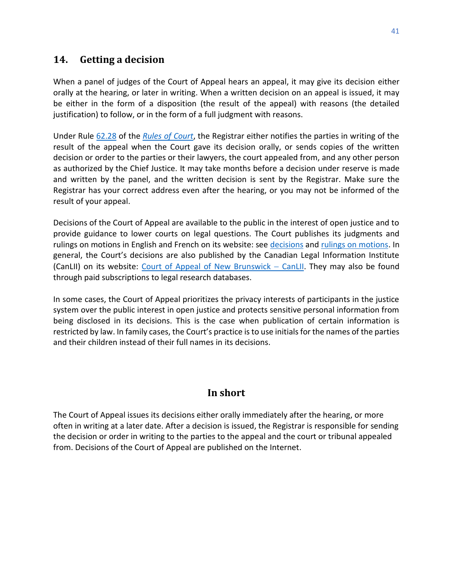# <span id="page-43-0"></span>**14. Getting a decision**

When a panel of judges of the Court of Appeal hears an appeal, it may give its decision either orally at the hearing, or later in writing. When a written decision on an appeal is issued, it may be either in the form of a disposition (the result of the appeal) with reasons (the detailed justification) to follow, or in the form of a full judgment with reasons.

Under Rule [62.28](http://laws.gnb.ca/en/ShowPdf/cr/Rule-62.pdf) of the *[Rules of Court](https://www2.gnb.ca/content/dam/gnb/Departments/ag-pg/PDF/en/rule/RULES.pdf)*, the Registrar either notifies the parties in writing of the result of the appeal when the Court gave its decision orally, or sends copies of the written decision or order to the parties or their lawyers, the court appealed from, and any other person as authorized by the Chief Justice. It may take months before a decision under reserve is made and written by the panel, and the written decision is sent by the Registrar. Make sure the Registrar has your correct address even after the hearing, or you may not be informed of the result of your appeal.

Decisions of the Court of Appeal are available to the public in the interest of open justice and to provide guidance to lower courts on legal questions. The Court publishes its judgments and rulings on motions in English and French on its website: see [decisions](https://www.courtsnb-coursnb.ca/content/cour/en/appeal/content/decisions.html) and [rulings on motions.](https://www.courtsnb-coursnb.ca/content/cour/en/appeal/content/rom.html) In general, the Court's decisions are also published by the Canadian Legal Information Institute (CanLII) on its website: [Court](https://www.canlii.org/en/nb/nbca/) [of Appeal of New Brunswick](https://www.canlii.org/en/nb/nbca/) – CanLII. They may also be found through paid subscriptions to legal research databases.

In some cases, the Court of Appeal prioritizes the privacy interests of participants in the justice system over the public interest in open justice and protects sensitive personal information from being disclosed in its decisions. This is the case when publication of certain information is restricted by law. In family cases, the Court's practice is to use initials for the names of the parties and their children instead of their full names in its decisions.

# **In short**

<span id="page-43-2"></span><span id="page-43-1"></span>The Court of Appeal issues its decisions either orally immediately after the hearing, or more often in writing at a later date. After a decision is issued, the Registrar is responsible for sending the decision or order in writing to the parties to the appeal and the court or tribunal appealed from. Decisions of the Court of Appeal are published on the Internet.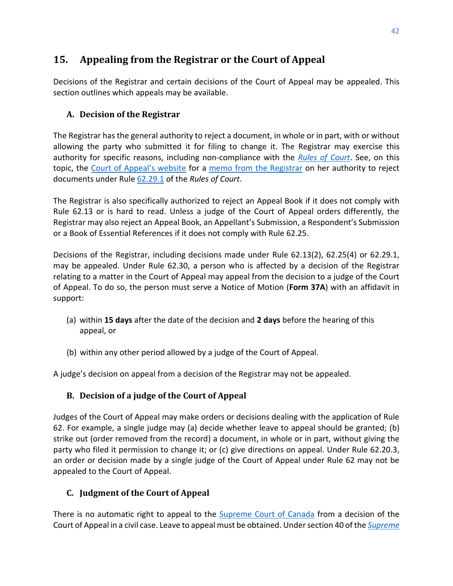# <span id="page-44-0"></span>**15. Appealing from the Registrar or the Court of Appeal**

Decisions of the Registrar and certain decisions of the Court of Appeal may be appealed. This section outlines which appeals may be available.

# <span id="page-44-1"></span>**A. Decision of the Registrar**

The Registrar has the general authority to reject a document, in whole or in part, with or without allowing the party who submitted it for filing to change it. The Registrar may exercise this authority for specific reasons, including non-compliance with the *[Rules of Court](https://www2.gnb.ca/content/dam/gnb/Departments/ag-pg/PDF/en/rule/RULES.pdf)*. See, on this topic, the [Court of Appeal's website](https://www.courtsnb-coursnb.ca/content/cour/en/appeal.html) for a [memo from the Registrar](https://www.courtsnb-coursnb.ca/content/dam/courts/pdf/appeal-appel/pd-aa/PD-AA-15.pdf) on her authority to reject documents under Rule [62.29.1](http://laws.gnb.ca/en/ShowPdf/cr/Rule-62.pdf) of the *Rules of Court*.

The Registrar is also specifically authorized to reject an Appeal Book if it does not comply with Rule 62.13 or is hard to read. Unless a judge of the Court of Appeal orders differently, the Registrar may also reject an Appeal Book, an Appellant's Submission, a Respondent's Submission or a Book of Essential References if it does not comply with Rule 62.25.

Decisions of the Registrar, including decisions made under Rule 62.13(2), 62.25(4) or 62.29.1, may be appealed. Under Rule 62.30, a person who is affected by a decision of the Registrar relating to a matter in the Court of Appeal may appeal from the decision to a judge of the Court of Appeal. To do so, the person must serve a Notice of Motion (**Form 37A**) with an affidavit in support:

- (a) within **15 days** after the date of the decision and **2 days** before the hearing of this appeal, or
- (b) within any other period allowed by a judge of the Court of Appeal.

A judge's decision on appeal from a decision of the Registrar may not be appealed.

# <span id="page-44-2"></span>**B. Decision of a judge of the Court of Appeal**

Judges of the Court of Appeal may make orders or decisions dealing with the application of Rule 62. For example, a single judge may (a) decide whether leave to appeal should be granted; (b) strike out (order removed from the record) a document, in whole or in part, without giving the party who filed it permission to change it; or (c) give directions on appeal. Under Rule 62.20.3, an order or decision made by a single judge of the Court of Appeal under Rule 62 may not be appealed to the Court of Appeal.

# <span id="page-44-3"></span>**C. Judgment of the Court of Appeal**

There is no automatic right to appeal to the **Supreme Court of Canada** from a decision of the Court of Appeal in a civil case. Leave to appeal must be obtained. Under section 40 of the *[Supreme](https://laws-lois.justice.gc.ca/PDF/S-26.pdf)*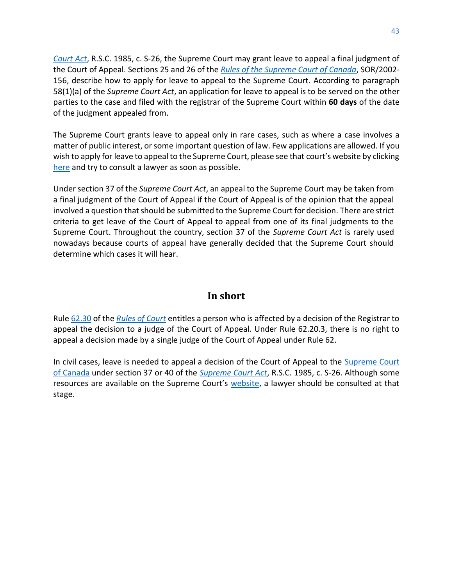*[Court Act](https://laws-lois.justice.gc.ca/PDF/S-26.pdf)*, R.S.C. 1985, c. S-26, the Supreme Court may grant leave to appeal a final judgment of the Court of Appeal. Sections 25 and 26 of the *[Rules of the Supreme Court of Canada](https://laws-lois.justice.gc.ca/PDF/SOR-2002-156.pdf)*, SOR/2002- 156, describe how to apply for leave to appeal to the Supreme Court. According to paragraph 58(1)(a) of the *Supreme Court Act*, an application for leave to appeal is to be served on the other parties to the case and filed with the registrar of the Supreme Court within **60 days** of the date of the judgment appealed from.

The Supreme Court grants leave to appeal only in rare cases, such as where a case involves a matter of public interest, or some important question of law. Few applications are allowed. If you wish to apply for leave to appeal to the Supreme Court, please see that court's website by clicking [here](https://www.scc-csc.ca/unrep-nonrep/app-dem/guide-eng.aspx) and try to consult a lawyer as soon as possible.

Under section 37 of the *Supreme Court Act*, an appeal to the Supreme Court may be taken from a final judgment of the Court of Appeal if the Court of Appeal is of the opinion that the appeal involved a question that should be submitted to the Supreme Court for decision. There are strict criteria to get leave of the Court of Appeal to appeal from one of its final judgments to the Supreme Court. Throughout the country, section 37 of the *Supreme Court Act* is rarely used nowadays because courts of appeal have generally decided that the Supreme Court should determine which cases it will hear.

# **In short**

<span id="page-45-0"></span>Rule [62.30](http://laws.gnb.ca/en/ShowPdf/cr/Rule-62.pdf) of the *[Rules of Court](https://www2.gnb.ca/content/dam/gnb/Departments/ag-pg/PDF/en/rule/RULES.pdf)* entitles a person who is affected by a decision of the Registrar to appeal the decision to a judge of the Court of Appeal. Under Rule 62.20.3, there is no right to appeal a decision made by a single judge of the Court of Appeal under Rule 62.

In civil cases, leave is needed to appeal a decision of the Court of Appeal to the Supreme Court [of Canada](https://www.scc-csc.ca/home-accueil/index-eng.aspx) under section 37 or 40 of the *[Supreme Court Act](https://laws-lois.justice.gc.ca/PDF/S-26.pdf)*, R.S.C. 1985, c. S-26. Although some resources are available on the Supreme Court's [website,](https://www.scc-csc.ca/unrep-nonrep/index-eng.aspx) a lawyer should be consulted at that stage.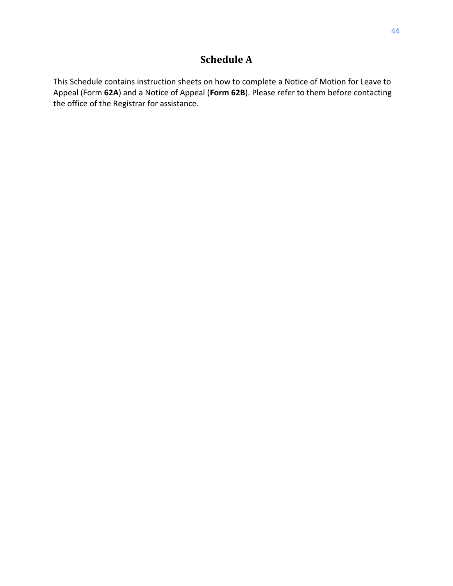# **Schedule A**

<span id="page-46-0"></span>This Schedule contains instruction sheets on how to complete a Notice of Motion for Leave to Appeal (Form **62A**) and a Notice of Appeal (**Form 62B**). Please refer to them before contacting the office of the Registrar for assistance.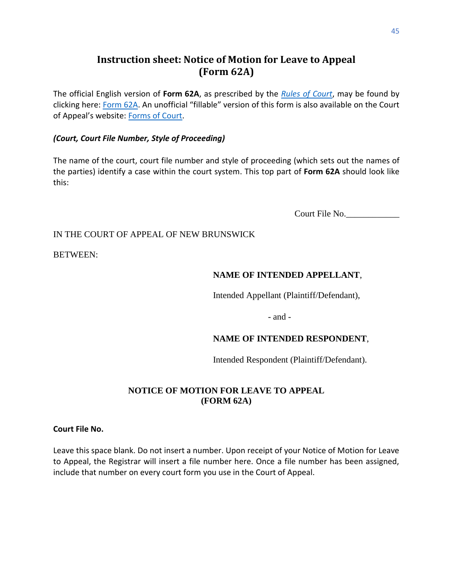# **Instruction sheet: Notice of Motion for Leave to Appeal (Form 62A)**

<span id="page-47-0"></span>The official English version of **Form 62A**, as prescribed by the *[Rules of Court](https://www2.gnb.ca/content/dam/gnb/Departments/ag-pg/PDF/en/rule/RULES.pdf)*, may be found by clicking here: [Form 62A.](https://www2.gnb.ca/content/dam/gnb/Departments/ag-pg/PDF/Forms/FORM-62a-e.pdf) An unofficial "fillable" version of this form is also available on the Court of Appeal's website: [Forms of Court.](https://www.courtsnb-coursnb.ca/content/cour/en/appeal/content/forms-of-court.html)

#### *(Court, Court File Number, Style of Proceeding)*

The name of the court, court file number and style of proceeding (which sets out the names of the parties) identify a case within the court system. This top part of **Form 62A** should look like this:

Court File No.

#### IN THE COURT OF APPEAL OF NEW BRUNSWICK

BETWEEN:

#### **NAME OF INTENDED APPELLANT**,

Intended Appellant (Plaintiff/Defendant),

- and -

#### **NAME OF INTENDED RESPONDENT**,

Intended Respondent (Plaintiff/Defendant).

#### **NOTICE OF MOTION FOR LEAVE TO APPEAL (FORM 62A)**

#### **Court File No.**

Leave this space blank. Do not insert a number. Upon receipt of your Notice of Motion for Leave to Appeal, the Registrar will insert a file number here. Once a file number has been assigned, include that number on every court form you use in the Court of Appeal.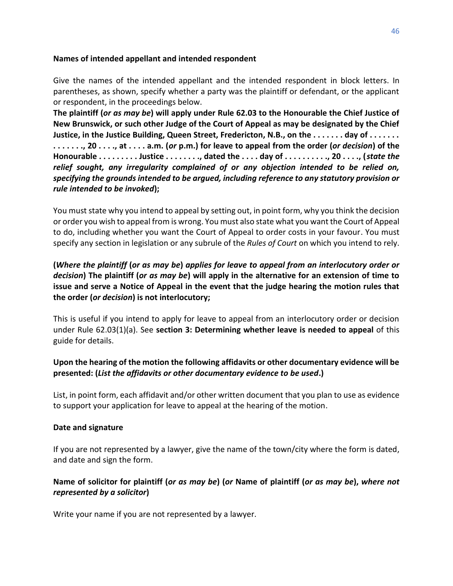#### **Names of intended appellant and intended respondent**

Give the names of the intended appellant and the intended respondent in block letters. In parentheses, as shown, specify whether a party was the plaintiff or defendant, or the applicant or respondent, in the proceedings below.

**The plaintiff (***or as may be***) will apply under Rule 62.03 to the Honourable the Chief Justice of New Brunswick, or such other Judge of the Court of Appeal as may be designated by the Chief Justice, in the Justice Building, Queen Street, Fredericton, N.B., on the . . . . . . . day of . . . . . . . . . . . . . ., 20 . . . ., at . . . . a.m. (***or* **p.m.) for leave to appeal from the order (***or decision***) of the Honourable . . . . . . . . . Justice . . . . . . . ., dated the . . . . day of . . . . . . . . . ., 20 . . . ., (***state the relief sought, any irregularity complained of or any objection intended to be relied on, specifying the grounds intended to be argued, including reference to any statutory provision or rule intended to be invoked***);**

You must state why you intend to appeal by setting out, in point form, why you think the decision or order you wish to appeal from is wrong. You must also state what you want the Court of Appeal to do, including whether you want the Court of Appeal to order costs in your favour. You must specify any section in legislation or any subrule of the *Rules of Court* on which you intend to rely.

**(***Where the plaintiff* **(***or as may be***)** *applies for leave to appeal from an interlocutory order or decision***) The plaintiff (***or as may be***) will apply in the alternative for an extension of time to issue and serve a Notice of Appeal in the event that the judge hearing the motion rules that the order (***or decision***) is not interlocutory;**

This is useful if you intend to apply for leave to appeal from an interlocutory order or decision under Rule 62.03(1)(a). See **section 3: Determining whether leave is needed to appeal** of this guide for details.

#### **Upon the hearing of the motion the following affidavits or other documentary evidence will be presented: (***List the affidavits or other documentary evidence to be used***.)**

List, in point form, each affidavit and/or other written document that you plan to use as evidence to support your application for leave to appeal at the hearing of the motion.

#### **Date and signature**

If you are not represented by a lawyer, give the name of the town/city where the form is dated, and date and sign the form.

#### **Name of solicitor for plaintiff (***or as may be***) (***or* **Name of plaintiff (***or as may be***),** *where not represented by a solicitor***)**

Write your name if you are not represented by a lawyer.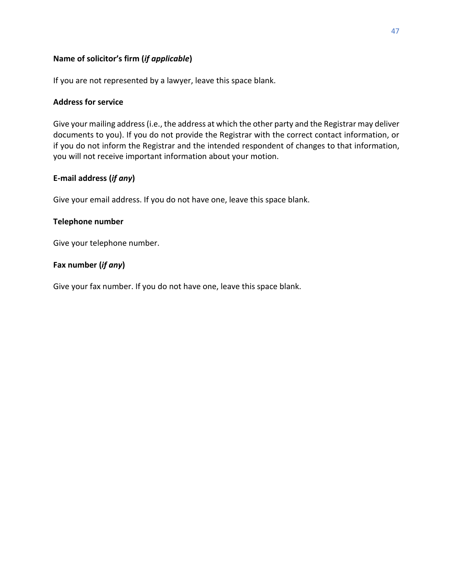#### **Name of solicitor's firm (***if applicable***)**

If you are not represented by a lawyer, leave this space blank.

#### **Address for service**

Give your mailing address (i.e., the address at which the other party and the Registrar may deliver documents to you). If you do not provide the Registrar with the correct contact information, or if you do not inform the Registrar and the intended respondent of changes to that information, you will not receive important information about your motion.

#### **E-mail address (***if any***)**

Give your email address. If you do not have one, leave this space blank.

#### **Telephone number**

Give your telephone number.

#### **Fax number (***if any***)**

Give your fax number. If you do not have one, leave this space blank.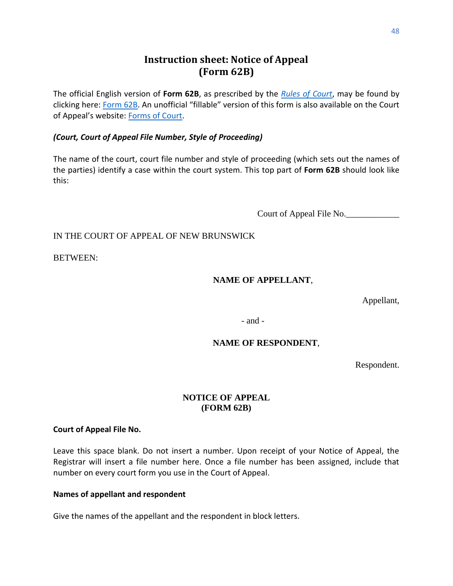# **Instruction sheet: Notice of Appeal (Form 62B)**

<span id="page-50-0"></span>The official English version of **Form 62B**, as prescribed by the *[Rules of Court](https://www2.gnb.ca/content/dam/gnb/Departments/ag-pg/PDF/en/rule/RULES.pdf)*, may be found by clicking here: [Form 62B.](https://www2.gnb.ca/content/dam/gnb/Departments/ag-pg/PDF/Forms/FORM-62b-e.pdf) An unofficial "fillable" version of this form is also available on the Court of Appeal's website: [Forms of Court.](https://www.courtsnb-coursnb.ca/content/cour/en/appeal/content/forms-of-court.html)

#### *(Court, Court of Appeal File Number, Style of Proceeding)*

The name of the court, court file number and style of proceeding (which sets out the names of the parties) identify a case within the court system. This top part of **Form 62B** should look like this:

Court of Appeal File No.

#### IN THE COURT OF APPEAL OF NEW BRUNSWICK

BETWEEN:

#### **NAME OF APPELLANT**,

Appellant,

- and -

#### **NAME OF RESPONDENT**,

Respondent.

#### **NOTICE OF APPEAL (FORM 62B)**

#### **Court of Appeal File No.**

Leave this space blank. Do not insert a number. Upon receipt of your Notice of Appeal, the Registrar will insert a file number here. Once a file number has been assigned, include that number on every court form you use in the Court of Appeal.

#### **Names of appellant and respondent**

Give the names of the appellant and the respondent in block letters.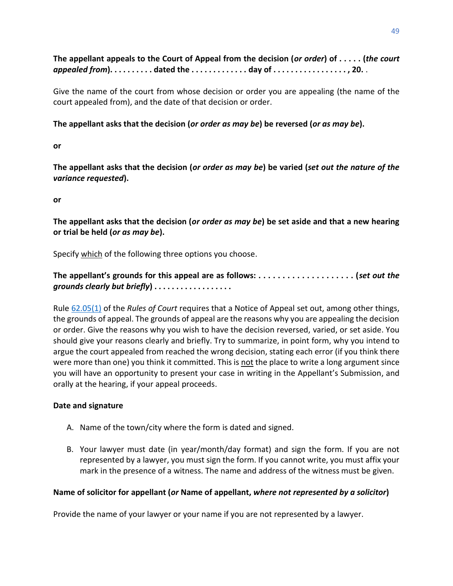**The appellant appeals to the Court of Appeal from the decision (***or order***) of . . . . . (***the court appealed from***). . . . . . . . . . dated the . . . . . . . . . . . . . day of . . . . . . . . . . . . . . . . . , 20.** .

Give the name of the court from whose decision or order you are appealing (the name of the court appealed from), and the date of that decision or order.

#### **The appellant asks that the decision (***or order as may be***) be reversed (***or as may be***).**

**or** 

**The appellant asks that the decision (***or order as may be***) be varied (***set out the nature of the variance requested***).** 

**or** 

**The appellant asks that the decision (***or order as may be***) be set aside and that a new hearing or trial be held (***or as may be***).**

Specify which of the following three options you choose.

**The appellant's grounds for this appeal are as follows: . . . . . . . . . . . . . . . . . . . . (***set out the grounds clearly but briefly***) . . . . . . . . . . . . . . . . . .**

Rule [62.05\(1\)](http://laws.gnb.ca/en/ShowPdf/cr/Rule-62.pdf) of the *[Rules](https://www.gnb.ca/0062/regs/Rule/Rules.pdf?_ga=2.23438010.1662541626.1637169385-880646705.1621285506) of Court* requires that a Notice of Appeal set out, among other things, the grounds of appeal. The grounds of appeal are the reasons why you are appealing the decision or order. Give the reasons why you wish to have the decision reversed, varied, or set aside. You should give your reasons clearly and briefly. Try to summarize, in point form, why you intend to argue the court appealed from reached the wrong decision, stating each error (if you think there were more than one) you think it committed. This is not the place to write a long argument since you will have an opportunity to present your case in writing in the Appellant's Submission, and orally at the hearing, if your appeal proceeds.

#### **Date and signature**

- A. Name of the town/city where the form is dated and signed.
- B. Your lawyer must date (in year/month/day format) and sign the form. If you are not represented by a lawyer, you must sign the form. If you cannot write, you must affix your mark in the presence of a witness. The name and address of the witness must be given.

#### **Name of solicitor for appellant (***or* **Name of appellant,** *where not represented by a solicitor***)**

Provide the name of your lawyer or your name if you are not represented by a lawyer.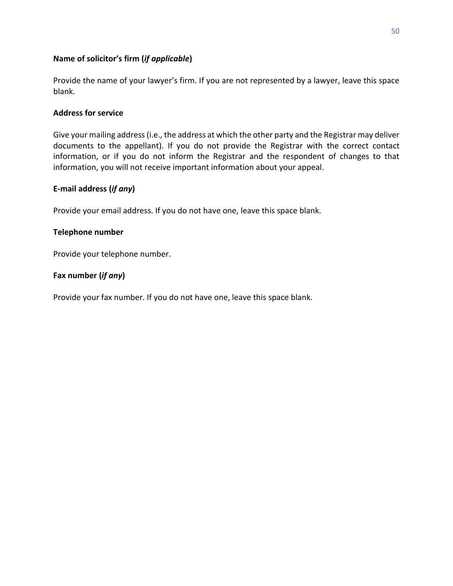#### **Name of solicitor's firm (***if applicable***)**

Provide the name of your lawyer's firm. If you are not represented by a lawyer, leave this space blank.

#### **Address for service**

Give your mailing address (i.e., the address at which the other party and the Registrar may deliver documents to the appellant). If you do not provide the Registrar with the correct contact information, or if you do not inform the Registrar and the respondent of changes to that information, you will not receive important information about your appeal.

#### **E-mail address (***if any***)**

Provide your email address. If you do not have one, leave this space blank.

#### **Telephone number**

Provide your telephone number.

#### **Fax number (***if any***)**

Provide your fax number. If you do not have one, leave this space blank.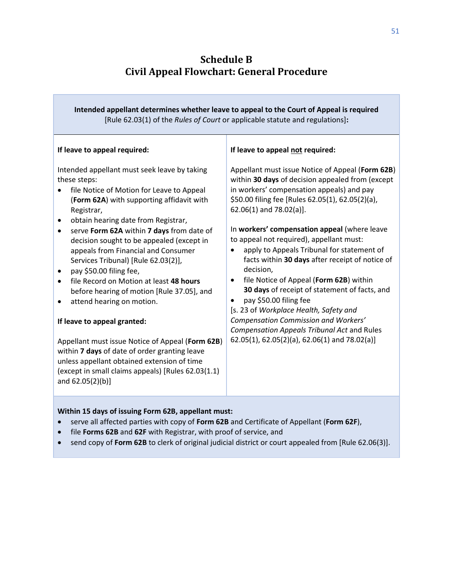# **Schedule B Civil Appeal Flowchart: General Procedure**

<span id="page-53-0"></span>

| Intended appellant determines whether leave to appeal to the Court of Appeal is required<br>[Rule 62.03(1) of the Rules of Court or applicable statute and regulations]:                                                                                                                                                                                                                                                                                                                                                                                                                                                                                                                                                                                                                                                    |                                                                                                                                                                                                                                                                                                                                                                                                                                                                                                                                                                                                                                                                                                                                                                             |  |
|-----------------------------------------------------------------------------------------------------------------------------------------------------------------------------------------------------------------------------------------------------------------------------------------------------------------------------------------------------------------------------------------------------------------------------------------------------------------------------------------------------------------------------------------------------------------------------------------------------------------------------------------------------------------------------------------------------------------------------------------------------------------------------------------------------------------------------|-----------------------------------------------------------------------------------------------------------------------------------------------------------------------------------------------------------------------------------------------------------------------------------------------------------------------------------------------------------------------------------------------------------------------------------------------------------------------------------------------------------------------------------------------------------------------------------------------------------------------------------------------------------------------------------------------------------------------------------------------------------------------------|--|
| If leave to appeal required:                                                                                                                                                                                                                                                                                                                                                                                                                                                                                                                                                                                                                                                                                                                                                                                                | If leave to appeal not required:                                                                                                                                                                                                                                                                                                                                                                                                                                                                                                                                                                                                                                                                                                                                            |  |
| Intended appellant must seek leave by taking<br>these steps:<br>file Notice of Motion for Leave to Appeal<br>(Form 62A) with supporting affidavit with<br>Registrar,<br>obtain hearing date from Registrar,<br>$\bullet$<br>serve Form 62A within 7 days from date of<br>decision sought to be appealed (except in<br>appeals from Financial and Consumer<br>Services Tribunal) [Rule 62.03(2)],<br>pay \$50.00 filing fee,<br>$\bullet$<br>file Record on Motion at least 48 hours<br>before hearing of motion [Rule 37.05], and<br>attend hearing on motion.<br>If leave to appeal granted:<br>Appellant must issue Notice of Appeal (Form 62B)<br>within 7 days of date of order granting leave<br>unless appellant obtained extension of time<br>(except in small claims appeals) [Rules 62.03(1.1)<br>and 62.05(2)(b)] | Appellant must issue Notice of Appeal (Form 62B)<br>within 30 days of decision appealed from (except<br>in workers' compensation appeals) and pay<br>\$50.00 filing fee [Rules 62.05(1), 62.05(2)(a),<br>$62.06(1)$ and $78.02(a)$ ].<br>In workers' compensation appeal (where leave<br>to appeal not required), appellant must:<br>apply to Appeals Tribunal for statement of<br>facts within 30 days after receipt of notice of<br>decision,<br>file Notice of Appeal (Form 62B) within<br>$\bullet$<br>30 days of receipt of statement of facts, and<br>pay \$50.00 filing fee<br>[s. 23 of Workplace Health, Safety and<br>Compensation Commission and Workers'<br><b>Compensation Appeals Tribunal Act and Rules</b><br>62.05(1), 62.05(2)(a), 62.06(1) and 78.02(a)] |  |

#### **Within 15 days of issuing Form 62B, appellant must:**

- serve all affected parties with copy of **Form 62B** and Certificate of Appellant (**Form 62F**),
- file **Forms 62B** and **62F** with Registrar, with proof of service, and
- send copy of **Form 62B** to clerk of original judicial district or court appealed from [Rule 62.06(3)].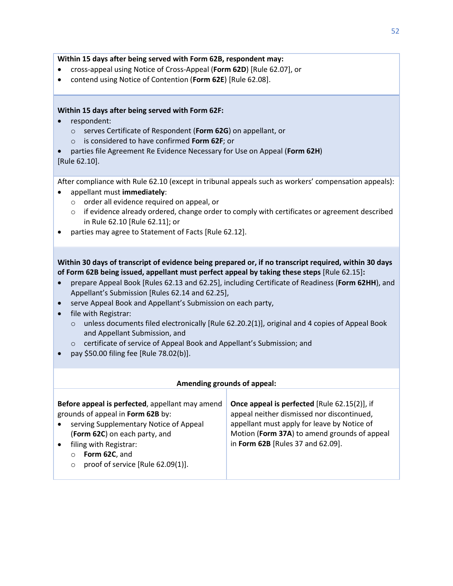#### **Within 15 days after being served with Form 62B, respondent may:**

- cross-appeal using Notice of Cross-Appeal (**Form 62D**) [Rule 62.07], or
- contend using Notice of Contention (**Form 62E**) [Rule 62.08].

#### **Within 15 days after being served with Form 62F:**

- respondent:
	- o serves Certificate of Respondent (**Form 62G**) on appellant, or
	- o is considered to have confirmed **Form 62F**; or
- parties file Agreement Re Evidence Necessary for Use on Appeal (**Form 62H**) [Rule 62.10].

After compliance with Rule 62.10 (except in tribunal appeals such as workers' compensation appeals):

- appellant must **immediately**:
	- o order all evidence required on appeal, or
	- o if evidence already ordered, change order to comply with certificates or agreement described in Rule 62.10 [Rule 62.11]; or
- parties may agree to Statement of Facts [Rule 62.12].

**Within 30 days of transcript of evidence being prepared or, if no transcript required, within 30 days of Form 62B being issued, appellant must perfect appeal by taking these steps** [Rule 62.15]**:**

- prepare Appeal Book [Rules 62.13 and 62.25], including Certificate of Readiness (**Form 62HH**), and Appellant's Submission [Rules 62.14 and 62.25],
- serve Appeal Book and Appellant's Submission on each party,
- file with Registrar:
	- $\circ$  unless documents filed electronically [Rule 62.20.2(1)], original and 4 copies of Appeal Book and Appellant Submission, and
	- o certificate of service of Appeal Book and Appellant's Submission; and
- pay \$50.00 filing fee [Rule 78.02(b)].

| Amending grounds of appeal:                                                                                                                                                                                                                                                                     |                                                                                                                                                                                                                                       |  |
|-------------------------------------------------------------------------------------------------------------------------------------------------------------------------------------------------------------------------------------------------------------------------------------------------|---------------------------------------------------------------------------------------------------------------------------------------------------------------------------------------------------------------------------------------|--|
| Before appeal is perfected, appellant may amend<br>grounds of appeal in Form 62B by:<br>serving Supplementary Notice of Appeal<br>$\bullet$<br>(Form 62C) on each party, and<br>filing with Registrar:<br>$\bullet$<br>Form 62C, and<br>$\circ$<br>proof of service [Rule 62.09(1)].<br>$\circ$ | <b>Once appeal is perfected</b> [Rule 62.15(2)], if<br>appeal neither dismissed nor discontinued,<br>appellant must apply for leave by Notice of<br>Motion (Form 37A) to amend grounds of appeal<br>in Form 62B [Rules 37 and 62.09]. |  |